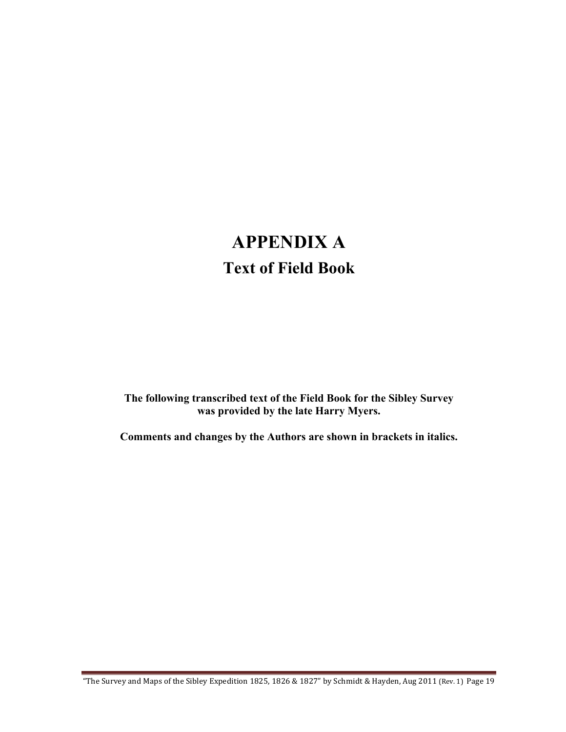## **APPENDIX A Text of Field Book**

**The following transcribed text of the Field Book for the Sibley Survey was provided by the late Harry Myers.**

**Comments and changes by the Authors are shown in brackets in italics.**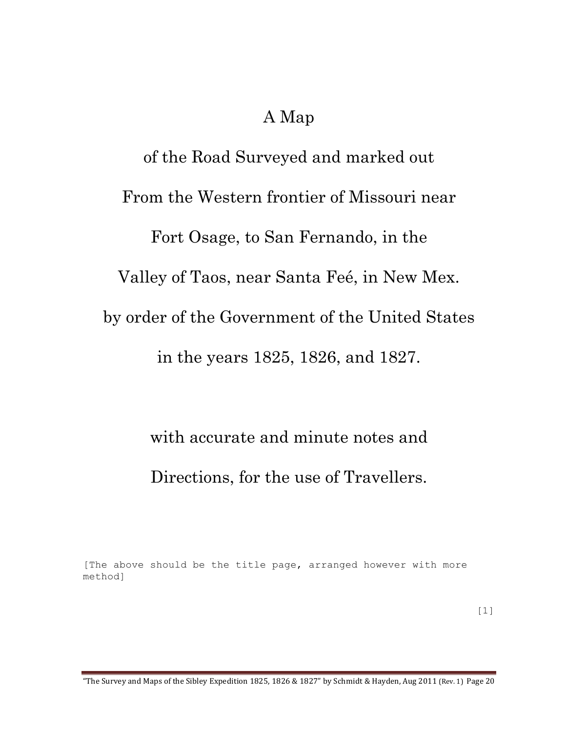## A Map

of the Road Surveyed and marked out From the Western frontier of Missouri near Fort Osage, to San Fernando, in the Valley of Taos, near Santa Feé, in New Mex. by order of the Government of the United States in the years 1825, 1826, and 1827.

> with accurate and minute notes and Directions, for the use of Travellers.

[The above should be the title page, arranged however with more method]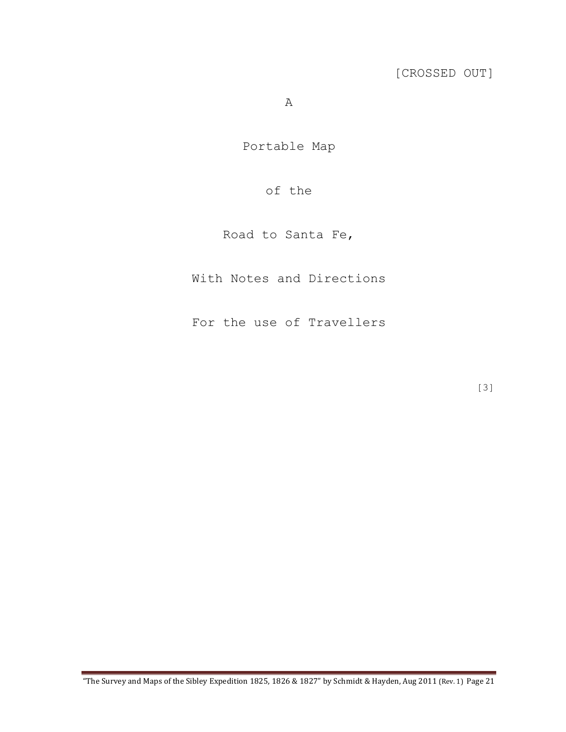A

Portable Map

## of the

Road to Santa Fe,

With Notes and Directions

For the use of Travellers

[3]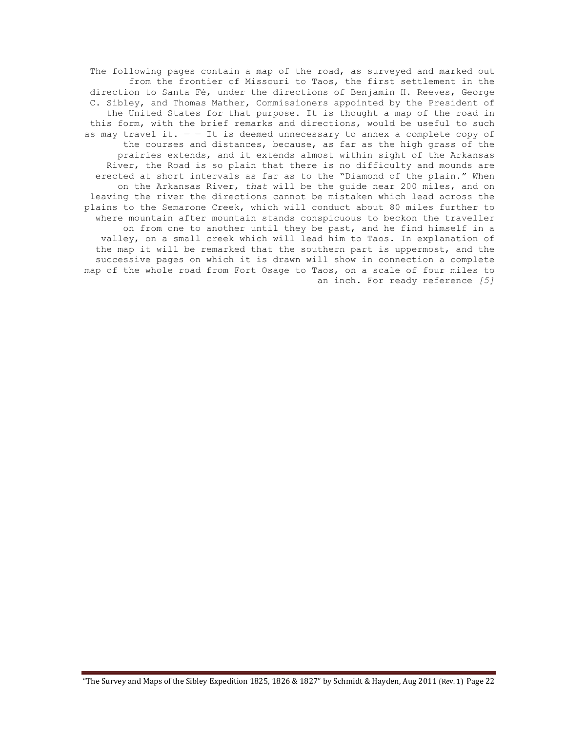The following pages contain a map of the road, as surveyed and marked out from the frontier of Missouri to Taos, the first settlement in the direction to Santa Fé, under the directions of Benjamin H. Reeves, George C. Sibley, and Thomas Mather, Commissioners appointed by the President of the United States for that purpose. It is thought a map of the road in this form, with the brief remarks and directions, would be useful to such as may travel it.  $-$  - It is deemed unnecessary to annex a complete copy of the courses and distances, because, as far as the high grass of the prairies extends, and it extends almost within sight of the Arkansas River, the Road is so plain that there is no difficulty and mounds are erected at short intervals as far as to the "Diamond of the plain." When on the Arkansas River, *that* will be the guide near 200 miles, and on leaving the river the directions cannot be mistaken which lead across the plains to the Semarone Creek, which will conduct about 80 miles further to where mountain after mountain stands conspicuous to beckon the traveller on from one to another until they be past, and he find himself in a valley, on a small creek which will lead him to Taos. In explanation of the map it will be remarked that the southern part is uppermost, and the successive pages on which it is drawn will show in connection a complete map of the whole road from Fort Osage to Taos, on a scale of four miles to an inch. For ready reference *[5]*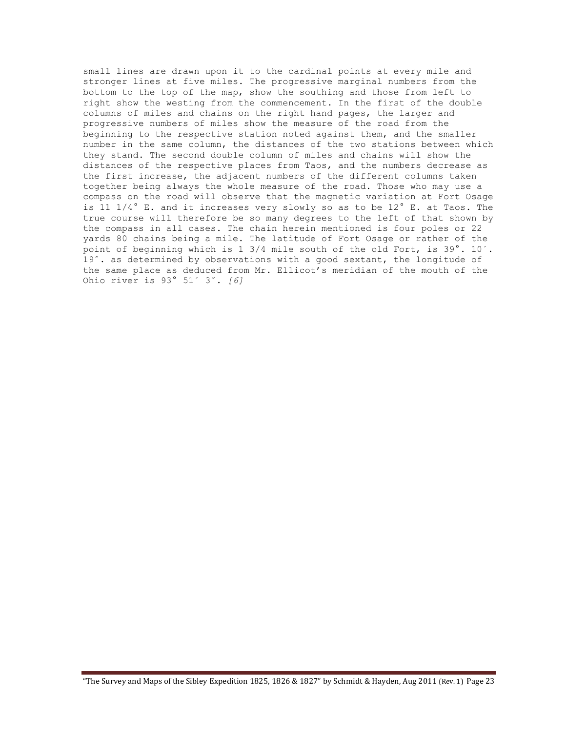small lines are drawn upon it to the cardinal points at every mile and stronger lines at five miles. The progressive marginal numbers from the bottom to the top of the map, show the southing and those from left to right show the westing from the commencement. In the first of the double columns of miles and chains on the right hand pages, the larger and progressive numbers of miles show the measure of the road from the beginning to the respective station noted against them, and the smaller number in the same column, the distances of the two stations between which they stand. The second double column of miles and chains will show the distances of the respective places from Taos, and the numbers decrease as the first increase, the adjacent numbers of the different columns taken together being always the whole measure of the road. Those who may use a compass on the road will observe that the magnetic variation at Fort Osage is 11  $1/4$ ° E. and it increases very slowly so as to be  $12$ ° E. at Taos. The true course will therefore be so many degrees to the left of that shown by the compass in all cases. The chain herein mentioned is four poles or 22 yards 80 chains being a mile. The latitude of Fort Osage or rather of the point of beginning which is 1 3/4 mile south of the old Fort, is 39°. 10´. 19˝. as determined by observations with a good sextant, the longitude of the same place as deduced from Mr. Ellicot's meridian of the mouth of the Ohio river is 93° 51´ 3˝. *[6]*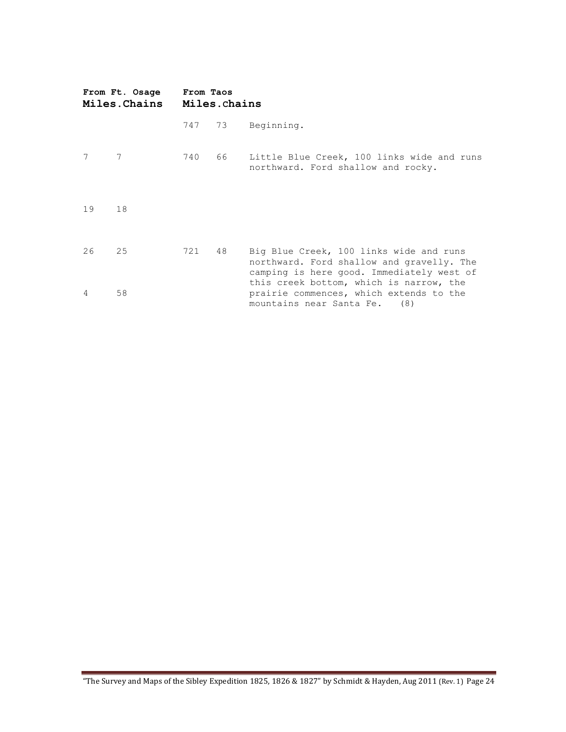| From Ft. Osage<br><b>Miles.Chains</b> |    | From Taos<br>Miles.chains |      |                                                                                                                                                                              |  |  |
|---------------------------------------|----|---------------------------|------|------------------------------------------------------------------------------------------------------------------------------------------------------------------------------|--|--|
|                                       |    | 747 73                    |      | Beginning.                                                                                                                                                                   |  |  |
| 7                                     | 7  | 740                       | 66 — | Little Blue Creek, 100 links wide and runs<br>northward. Ford shallow and rocky.                                                                                             |  |  |
| 19                                    | 18 |                           |      |                                                                                                                                                                              |  |  |
| 26                                    | 25 | 721                       | 48   | Big Blue Creek, 100 links wide and runs<br>northward. Ford shallow and gravelly. The<br>camping is here good. Immediately west of<br>this creek bottom, which is narrow, the |  |  |
| $\overline{4}$                        | 58 |                           |      | prairie commences, which extends to the<br>mountains near Santa Fe. (8)                                                                                                      |  |  |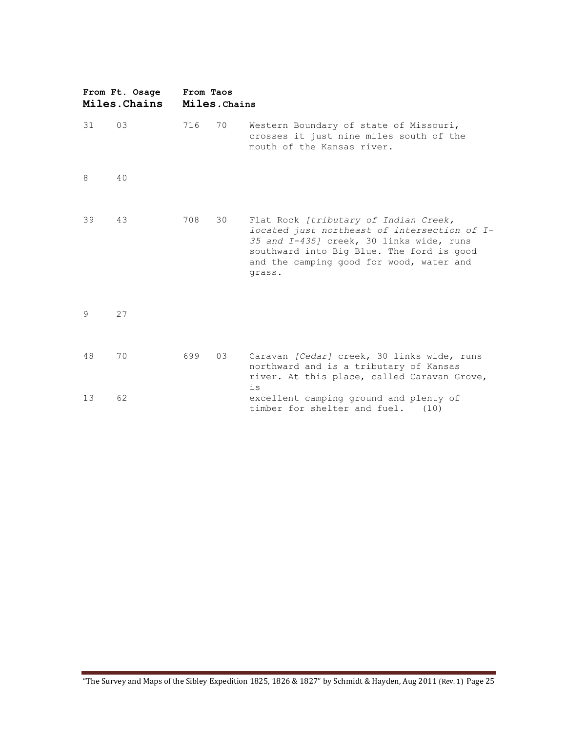| From Ft. Osage<br>Miles. Chains |    | From Taos | Miles. Chains |                                                                                                                                                                                                                                      |  |  |
|---------------------------------|----|-----------|---------------|--------------------------------------------------------------------------------------------------------------------------------------------------------------------------------------------------------------------------------------|--|--|
| 31                              | 03 | 716       | 70            | Western Boundary of state of Missouri,<br>crosses it just nine miles south of the<br>mouth of the Kansas river.                                                                                                                      |  |  |
| 8                               | 40 |           |               |                                                                                                                                                                                                                                      |  |  |
| 39                              | 43 | 708       | 30            | Flat Rock [tributary of Indian Creek,<br>located just northeast of intersection of I-<br>35 and I-4351 creek, 30 links wide, runs<br>southward into Big Blue. The ford is good<br>and the camping good for wood, water and<br>grass. |  |  |
| 9                               | 27 |           |               |                                                                                                                                                                                                                                      |  |  |
| 48                              | 70 | 699       | 03            | Caravan [Cedar] creek, 30 links wide, runs<br>northward and is a tributary of Kansas<br>river. At this place, called Caravan Grove,<br>$\frac{1}{2}S$                                                                                |  |  |
| 13                              | 62 |           |               | excellent camping ground and plenty of<br>timber for shelter and fuel.<br>(10)                                                                                                                                                       |  |  |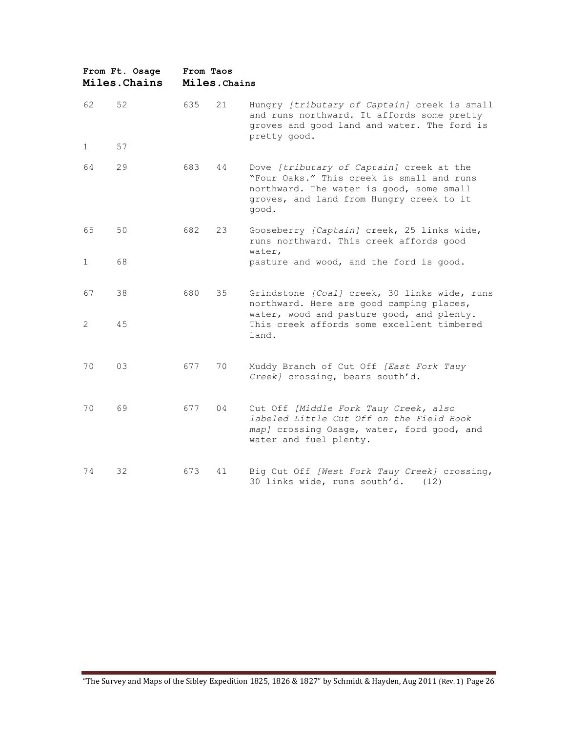| From Ft. Osage<br>Miles. Chains |    | From Taos<br>Miles. Chains |    |                                                                                                                                                                                        |  |  |
|---------------------------------|----|----------------------------|----|----------------------------------------------------------------------------------------------------------------------------------------------------------------------------------------|--|--|
| 62                              | 52 | 635                        | 21 | Hungry [tributary of Captain] creek is small<br>and runs northward. It affords some pretty<br>groves and good land and water. The ford is<br>pretty good.                              |  |  |
| 1                               | 57 |                            |    |                                                                                                                                                                                        |  |  |
| 64                              | 29 | 683                        | 44 | Dove [tributary of Captain] creek at the<br>"Four Oaks." This creek is small and runs<br>northward. The water is good, some small<br>groves, and land from Hungry creek to it<br>good. |  |  |
| 65                              | 50 | 682                        | 23 | Gooseberry [Captain] creek, 25 links wide,<br>runs northward. This creek affords good<br>water,                                                                                        |  |  |
| 1                               | 68 |                            |    | pasture and wood, and the ford is good.                                                                                                                                                |  |  |
| 67                              | 38 | 680                        | 35 | Grindstone [Coal] creek, 30 links wide, runs<br>northward. Here are good camping places,<br>water, wood and pasture good, and plenty.                                                  |  |  |
| 2                               | 45 |                            |    | This creek affords some excellent timbered<br>land.                                                                                                                                    |  |  |
| 70                              | 03 | 677                        | 70 | Muddy Branch of Cut Off [East Fork Tauy<br>Creek] crossing, bears south'd.                                                                                                             |  |  |
| 70                              | 69 | 677                        | 04 | Cut Off [Middle Fork Tauy Creek, also<br>labeled Little Cut Off on the Field Book<br>map] crossing Osage, water, ford good, and<br>water and fuel plenty.                              |  |  |
| 74                              | 32 | 673                        | 41 | Big Cut Off [West Fork Tauy Creek] crossing,<br>30 links wide, runs south'd.<br>(12)                                                                                                   |  |  |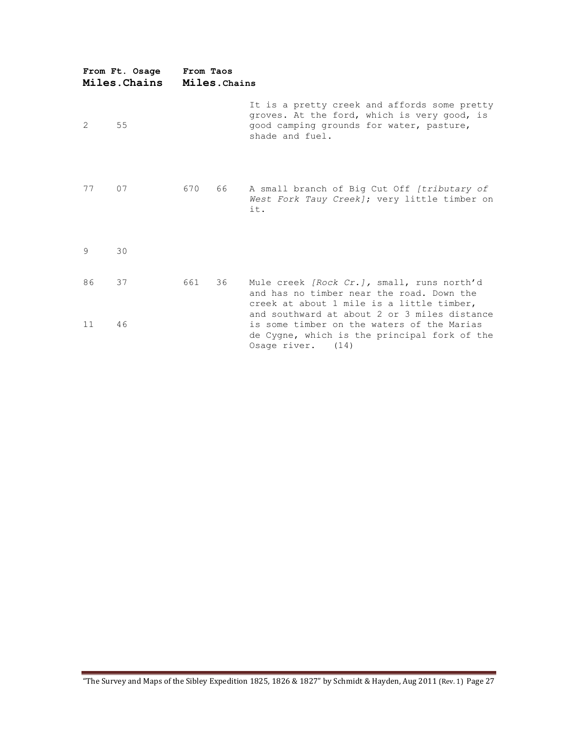| From Ft. Osage<br>Miles. Chains |    | From Taos<br>Miles. Chains |      |                                                                                                                                                                 |  |  |
|---------------------------------|----|----------------------------|------|-----------------------------------------------------------------------------------------------------------------------------------------------------------------|--|--|
| 2                               | 55 |                            |      | It is a pretty creek and affords some pretty<br>groves. At the ford, which is very good, is<br>good camping grounds for water, pasture,<br>shade and fuel.      |  |  |
| 77                              | 07 | 670                        | 66 — | A small branch of Big Cut Off [tributary of<br>West Fork Tauy Creek]; very little timber on<br>it.                                                              |  |  |
| 9                               | 30 |                            |      |                                                                                                                                                                 |  |  |
| 86                              | 37 | 661                        | 36   | Mule creek <i>[Rock Cr.]</i> , small, runs north'd<br>and has no timber near the road. Down the<br>creek at about 1 mile is a little timber,                    |  |  |
| 11                              | 46 |                            |      | and southward at about 2 or 3 miles distance<br>is some timber on the waters of the Marias<br>de Cygne, which is the principal fork of the<br>Osage river. (14) |  |  |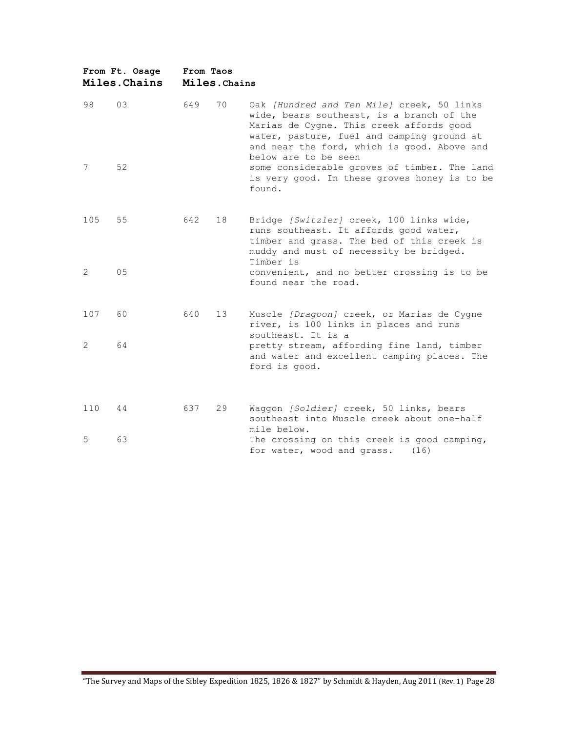| From Ft. Osage<br>Miles. Chains |    | From Taos<br>Miles. Chains |                 |                                                                                                                                                                                                                                                          |  |  |
|---------------------------------|----|----------------------------|-----------------|----------------------------------------------------------------------------------------------------------------------------------------------------------------------------------------------------------------------------------------------------------|--|--|
| 98                              | 03 | 649                        | 70              | Oak [Hundred and Ten Mile] creek, 50 links<br>wide, bears southeast, is a branch of the<br>Marias de Cygne. This creek affords good<br>water, pasture, fuel and camping ground at<br>and near the ford, which is good. Above and<br>below are to be seen |  |  |
| 7                               | 52 |                            |                 | some considerable groves of timber. The land<br>is very good. In these groves honey is to be<br>found.                                                                                                                                                   |  |  |
| 105                             | 55 | 642                        | 18              | Bridge [Switzler] creek, 100 links wide,<br>runs southeast. It affords good water,<br>timber and grass. The bed of this creek is<br>muddy and must of necessity be bridged.<br>Timber is                                                                 |  |  |
| 2                               | 05 |                            |                 | convenient, and no better crossing is to be<br>found near the road.                                                                                                                                                                                      |  |  |
| 107                             | 60 | 640                        | 13 <sup>°</sup> | Muscle [Dragoon] creek, or Marias de Cygne<br>river, is 100 links in places and runs<br>southeast. It is a                                                                                                                                               |  |  |
| $\overline{2}$                  | 64 |                            |                 | pretty stream, affording fine land, timber<br>and water and excellent camping places. The<br>ford is good.                                                                                                                                               |  |  |
| 110                             | 44 | 637                        | 29              | Waggon [Soldier] creek, 50 links, bears<br>southeast into Muscle creek about one-half<br>mile below.                                                                                                                                                     |  |  |
| 5                               | 63 |                            |                 | The crossing on this creek is good camping,<br>for water, wood and grass.<br>(16)                                                                                                                                                                        |  |  |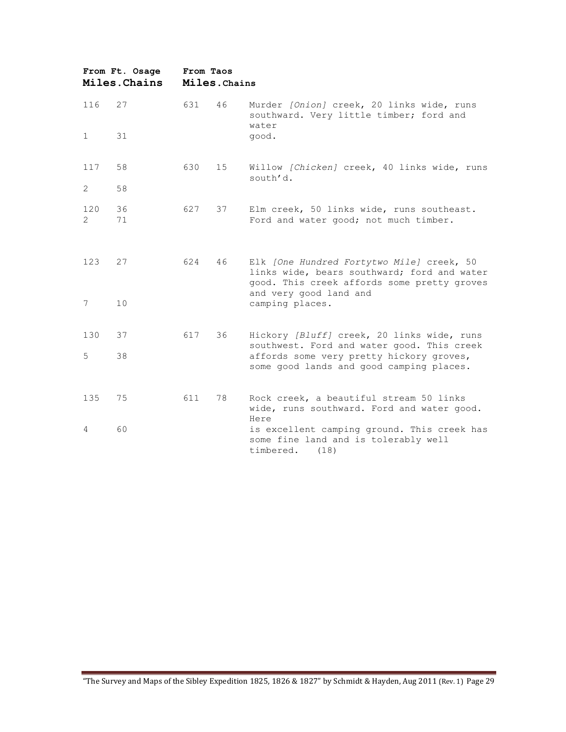| From Ft. Osage<br>Miles. Chains |          | From Taos<br>Miles. Chains |    |                                                                                                                                                                   |  |  |
|---------------------------------|----------|----------------------------|----|-------------------------------------------------------------------------------------------------------------------------------------------------------------------|--|--|
| 116                             | 27       | 631                        | 46 | Murder [Onion] creek, 20 links wide, runs<br>southward. Very little timber; ford and<br>water                                                                     |  |  |
| 1                               | 31       |                            |    | good.                                                                                                                                                             |  |  |
| 117                             | 58       | 630                        | 15 | Willow [Chicken] creek, 40 links wide, runs<br>south'd.                                                                                                           |  |  |
| 2                               | 58       |                            |    |                                                                                                                                                                   |  |  |
| 120<br>$\overline{2}$           | 36<br>71 | 627                        | 37 | Elm creek, 50 links wide, runs southeast.<br>Ford and water good; not much timber.                                                                                |  |  |
| 123                             | 27       | 624                        | 46 | Elk [One Hundred Fortytwo Mile] creek, 50<br>links wide, bears southward; ford and water<br>good. This creek affords some pretty groves<br>and very good land and |  |  |
| 7                               | 10       |                            |    | camping places.                                                                                                                                                   |  |  |
| 130                             | 37       | 617                        | 36 | Hickory [Bluff] creek, 20 links wide, runs<br>southwest. Ford and water good. This creek                                                                          |  |  |
| 5                               | 38       |                            |    | affords some very pretty hickory groves,<br>some good lands and good camping places.                                                                              |  |  |
| 135                             | 75       | 611                        | 78 | Rock creek, a beautiful stream 50 links<br>wide, runs southward. Ford and water good.<br>Here                                                                     |  |  |
| 4                               | 60       |                            |    | is excellent camping ground. This creek has<br>some fine land and is tolerably well<br>timbered.<br>(18)                                                          |  |  |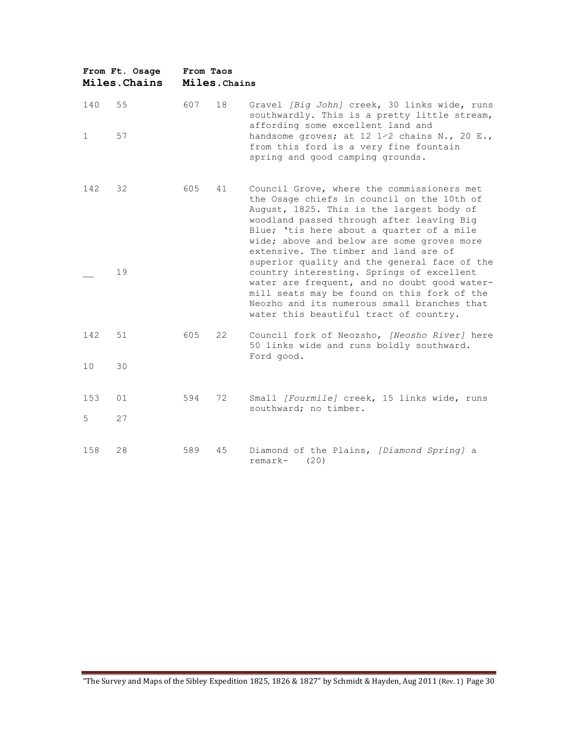|              | From Ft. Osage<br>Miles. Chains | From Taos<br>Miles. Chains |    |                                                                                                                                                                                                                                                                                                                        |  |  |
|--------------|---------------------------------|----------------------------|----|------------------------------------------------------------------------------------------------------------------------------------------------------------------------------------------------------------------------------------------------------------------------------------------------------------------------|--|--|
| 140          | 55                              | 607                        | 18 | Gravel [Big John] creek, 30 links wide, runs<br>southwardly. This is a pretty little stream,<br>affording some excellent land and                                                                                                                                                                                      |  |  |
| $\mathbf{1}$ | 57                              |                            |    | handsome groves; at 12 1/2 chains N., 20 E.,<br>from this ford is a very fine fountain<br>spring and good camping grounds.                                                                                                                                                                                             |  |  |
| 142          | 32                              | 605                        | 41 | Council Grove, where the commissioners met<br>the Osage chiefs in council on the 10th of<br>August, 1825. This is the largest body of<br>woodland passed through after leaving Big<br>Blue; 'tis here about a quarter of a mile<br>wide; above and below are some groves more<br>extensive. The timber and land are of |  |  |
|              | 19                              |                            |    | superior quality and the general face of the<br>country interesting. Springs of excellent<br>water are frequent, and no doubt good water-<br>mill seats may be found on this fork of the<br>Neozho and its numerous small branches that<br>water this beautiful tract of country.                                      |  |  |
| 142          | 51                              | 605                        | 22 | Council fork of Neozsho, [Neosho River] here<br>50 links wide and runs boldly southward.<br>Ford good.                                                                                                                                                                                                                 |  |  |
| 10           | 30                              |                            |    |                                                                                                                                                                                                                                                                                                                        |  |  |
| 153<br>5     | 01<br>27                        | 594                        | 72 | Small [Fourmile] creek, 15 links wide, runs<br>southward; no timber.                                                                                                                                                                                                                                                   |  |  |
|              |                                 |                            |    |                                                                                                                                                                                                                                                                                                                        |  |  |
| 158          | 28                              | 589                        | 45 | Diamond of the Plains, [Diamond Spring] a<br>remark-<br>(20)                                                                                                                                                                                                                                                           |  |  |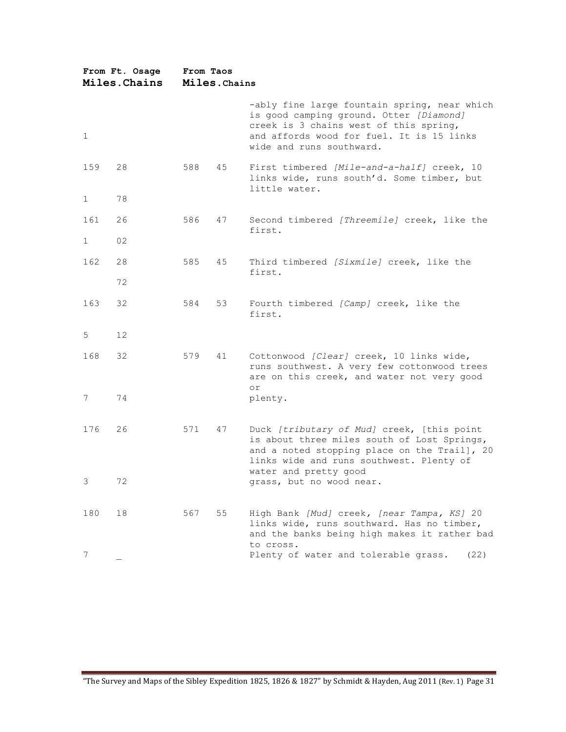| From Ft. Osage<br>Miles. Chains |    | From Taos<br>Miles. Chains |    |                                                                                                                                                                                                            |  |  |  |
|---------------------------------|----|----------------------------|----|------------------------------------------------------------------------------------------------------------------------------------------------------------------------------------------------------------|--|--|--|
| 1                               |    |                            |    | -ably fine large fountain spring, near which<br>is good camping ground. Otter [Diamond]<br>creek is 3 chains west of this spring,<br>and affords wood for fuel. It is 15 links<br>wide and runs southward. |  |  |  |
| 159                             | 28 | 588                        | 45 | First timbered [Mile-and-a-half] creek, 10<br>links wide, runs south'd. Some timber, but<br>little water.                                                                                                  |  |  |  |
| 1                               | 78 |                            |    |                                                                                                                                                                                                            |  |  |  |
| 161                             | 26 | 586                        | 47 | Second timbered [Threemile] creek, like the<br>first.                                                                                                                                                      |  |  |  |
| 1                               | 02 |                            |    |                                                                                                                                                                                                            |  |  |  |
| 162                             | 28 | 585                        | 45 | Third timbered [Sixmile] creek, like the<br>first.                                                                                                                                                         |  |  |  |
|                                 | 72 |                            |    |                                                                                                                                                                                                            |  |  |  |
| 163                             | 32 | 584                        | 53 | Fourth timbered [Camp] creek, like the<br>first.                                                                                                                                                           |  |  |  |
| 5                               | 12 |                            |    |                                                                                                                                                                                                            |  |  |  |
| 168                             | 32 | 579                        | 41 | Cottonwood [Clear] creek, 10 links wide,<br>runs southwest. A very few cottonwood trees<br>are on this creek, and water not very good                                                                      |  |  |  |
| 7                               | 74 |                            |    | or<br>plenty.                                                                                                                                                                                              |  |  |  |
| 176                             | 26 | 571                        | 47 | Duck [tributary of Mud] creek, [this point<br>is about three miles south of Lost Springs,<br>and a noted stopping place on the Trail], 20<br>links wide and runs southwest. Plenty of                      |  |  |  |
| 3.                              | 72 |                            |    | water and pretty good<br>grass, but no wood near.                                                                                                                                                          |  |  |  |
| 180                             | 18 | 567                        | 55 | High Bank [Mud] creek, [near Tampa, KS] 20<br>links wide, runs southward. Has no timber,<br>and the banks being high makes it rather bad<br>to cross.                                                      |  |  |  |
| 7                               |    |                            |    | Plenty of water and tolerable grass.<br>(22)                                                                                                                                                               |  |  |  |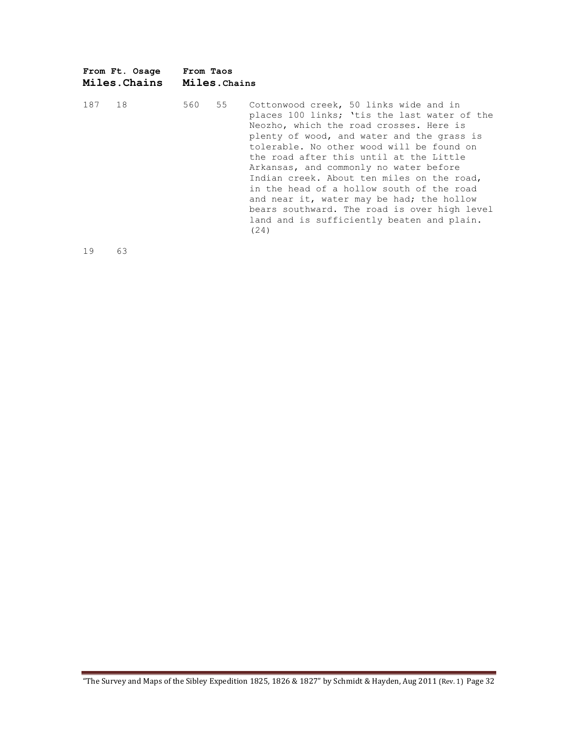|     | From Ft. Osage<br>Miles.Chains | From Taos<br>Miles.Chains |    |                                                                                                                                                                                                                                                                                                                                                                                                                                                                                                                                                                 |
|-----|--------------------------------|---------------------------|----|-----------------------------------------------------------------------------------------------------------------------------------------------------------------------------------------------------------------------------------------------------------------------------------------------------------------------------------------------------------------------------------------------------------------------------------------------------------------------------------------------------------------------------------------------------------------|
| 187 | 18                             | 560                       | 55 | Cottonwood creek, 50 links wide and in<br>places 100 links; 'tis the last water of the<br>Neozho, which the road crosses. Here is<br>plenty of wood, and water and the grass is<br>tolerable. No other wood will be found on<br>the road after this until at the Little<br>Arkansas, and commonly no water before<br>Indian creek. About ten miles on the road,<br>in the head of a hollow south of the road<br>and near it, water may be had; the hollow<br>bears southward. The road is over high level<br>land and is sufficiently beaten and plain.<br>(24) |

19 63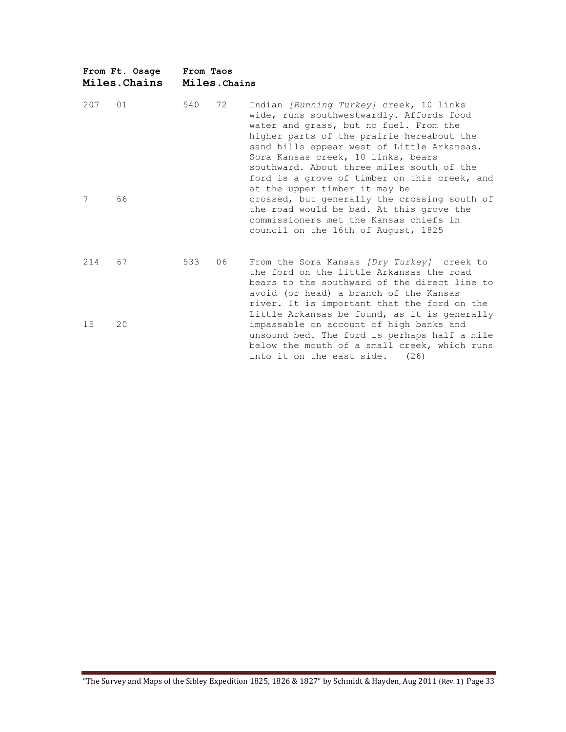|          | From Ft. Osage<br>Miles. Chains | From Taos | Miles. Chains |                                                                                                                                                                                                                                                                                                                                                                                                                                                                                                                                                                           |
|----------|---------------------------------|-----------|---------------|---------------------------------------------------------------------------------------------------------------------------------------------------------------------------------------------------------------------------------------------------------------------------------------------------------------------------------------------------------------------------------------------------------------------------------------------------------------------------------------------------------------------------------------------------------------------------|
| 207<br>7 | 01<br>66                        | 540       | 72            | Indian [Running Turkey] creek, 10 links<br>wide, runs southwestwardly. Affords food<br>water and grass, but no fuel. From the<br>higher parts of the prairie hereabout the<br>sand hills appear west of Little Arkansas.<br>Sora Kansas creek, 10 links, bears<br>southward. About three miles south of the<br>ford is a grove of timber on this creek, and<br>at the upper timber it may be<br>crossed, but generally the crossing south of<br>the road would be bad. At this grove the<br>commissioners met the Kansas chiefs in<br>council on the 16th of August, 1825 |
| 214      | 67                              | 533       | 06            | From the Sora Kansas (Dry Turkey) creek to<br>the ford on the little Arkansas the road<br>bears to the southward of the direct line to<br>avoid (or head) a branch of the Kansas                                                                                                                                                                                                                                                                                                                                                                                          |
| 15       | 20                              |           |               | river. It is important that the ford on the<br>Little Arkansas be found, as it is generally<br>impassable on account of high banks and<br>unsound bed. The ford is perhaps half a mile<br>below the mouth of a small creek, which runs<br>into it on the east side.<br>(26)                                                                                                                                                                                                                                                                                               |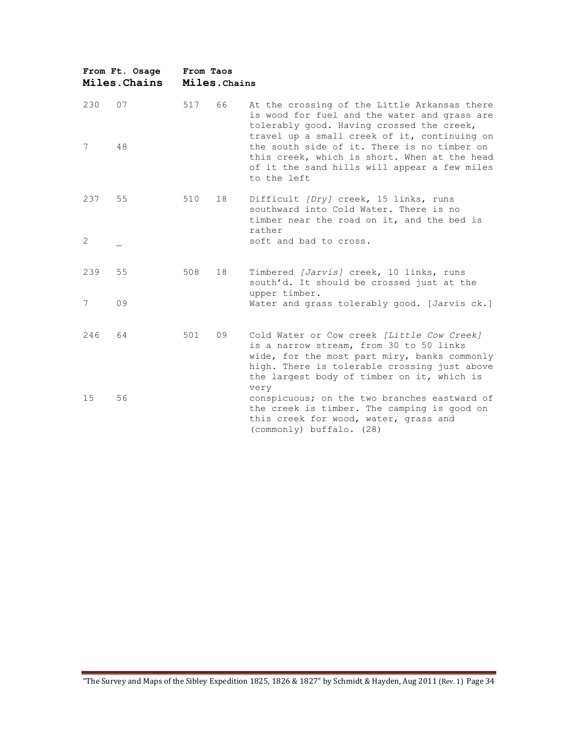|     | From Ft. Osage<br>Miles. Chains | From Taos | Miles. Chains |                                                                                                                                                                                                                                             |
|-----|---------------------------------|-----------|---------------|---------------------------------------------------------------------------------------------------------------------------------------------------------------------------------------------------------------------------------------------|
| 230 | 07                              | 517       | 66            | At the crossing of the Little Arkansas there<br>is wood for fuel and the water and grass are<br>tolerably good. Having crossed the creek,<br>travel up a small creek of it, continuing on                                                   |
| 7   | 48                              |           |               | the south side of it. There is no timber on<br>this creek, which is short. When at the head<br>of it the sand hills will appear a few miles<br>to the left                                                                                  |
| 237 | 55                              | 510       | 18            | Difficult (Dry) creek, 15 links, runs<br>southward into Cold Water. There is no<br>timber near the road on it, and the bed is<br>rather                                                                                                     |
| 2   |                                 |           |               | soft and bad to cross.                                                                                                                                                                                                                      |
| 239 | 55                              | 508       | 18            | Timbered [Jarvis] creek, 10 links, runs<br>south'd. It should be crossed just at the<br>upper timber.                                                                                                                                       |
| 7   | 09                              |           |               | Water and grass tolerably good. [Jarvis ck.]                                                                                                                                                                                                |
| 246 | 64                              | 501       | 09            | Cold Water or Cow creek [Little Cow Creek]<br>is a narrow stream, from 30 to 50 links<br>wide, for the most part miry, banks commonly<br>high. There is tolerable crossing just above<br>the largest body of timber on it, which is<br>very |
| 15  | 56                              |           |               | conspicuous; on the two branches eastward of<br>the creek is timber. The camping is good on<br>this creek for wood, water, grass and<br>(commonly) buffalo. (28)                                                                            |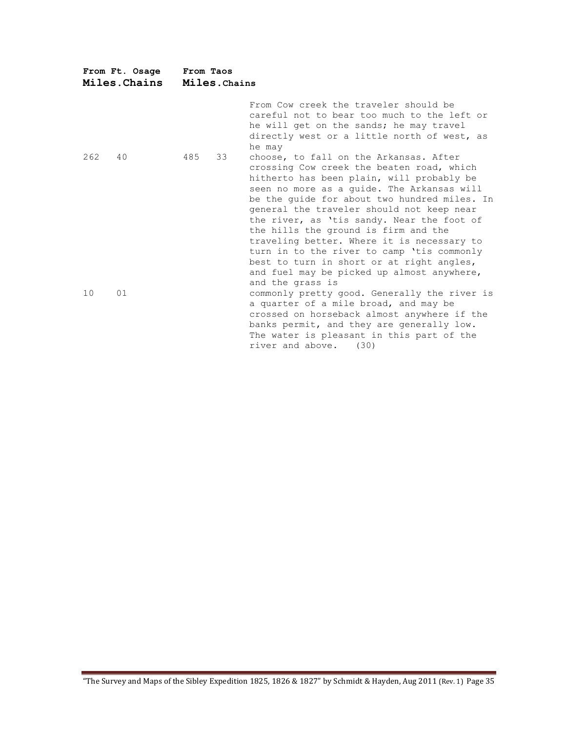|     | From Ft. Osage<br>Miles. Chains | From Taos | Miles. Chains |                                                                                                                                                                                                                                                                                                                                                                                                                                                                                                                                                                              |
|-----|---------------------------------|-----------|---------------|------------------------------------------------------------------------------------------------------------------------------------------------------------------------------------------------------------------------------------------------------------------------------------------------------------------------------------------------------------------------------------------------------------------------------------------------------------------------------------------------------------------------------------------------------------------------------|
|     |                                 |           |               | From Cow creek the traveler should be<br>careful not to bear too much to the left or<br>he will get on the sands; he may travel<br>directly west or a little north of west, as<br>he may                                                                                                                                                                                                                                                                                                                                                                                     |
| 262 | 40                              | 485       | 33            | choose, to fall on the Arkansas. After<br>crossing Cow creek the beaten road, which<br>hitherto has been plain, will probably be<br>seen no more as a guide. The Arkansas will<br>be the guide for about two hundred miles. In<br>general the traveler should not keep near<br>the river, as 'tis sandy. Near the foot of<br>the hills the ground is firm and the<br>traveling better. Where it is necessary to<br>turn in to the river to camp 'tis commonly<br>best to turn in short or at right angles,<br>and fuel may be picked up almost anywhere,<br>and the grass is |
| 10  | 01                              |           |               | commonly pretty good. Generally the river is<br>a quarter of a mile broad, and may be<br>crossed on horseback almost anywhere if the<br>banks permit, and they are generally low.<br>The water is pleasant in this part of the<br>river and above.<br>(30)                                                                                                                                                                                                                                                                                                                   |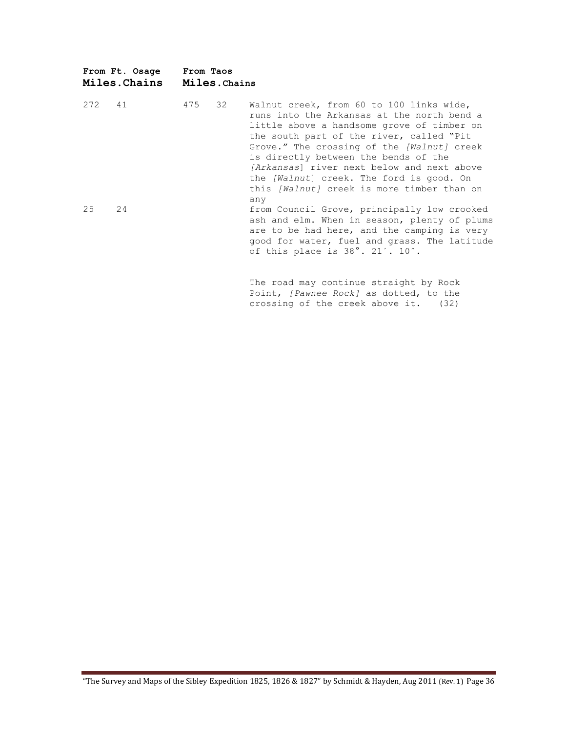|        | From Ft. Osage<br>Miles.Chains | From Taos | Miles. Chains |                                                                                                                                                                                                                                                                                                                                                                                                                       |
|--------|--------------------------------|-----------|---------------|-----------------------------------------------------------------------------------------------------------------------------------------------------------------------------------------------------------------------------------------------------------------------------------------------------------------------------------------------------------------------------------------------------------------------|
| 272 41 |                                | 475       | 32            | Walnut creek, from 60 to 100 links wide,<br>runs into the Arkansas at the north bend a<br>little above a handsome grove of timber on<br>the south part of the river, called "Pit<br>Grove." The crossing of the [Walnut] creek<br>is directly between the bends of the<br>[Arkansas] river next below and next above<br>the [Walnut] creek. The ford is good. On<br>this [Walnut] creek is more timber than on<br>any |
| 25     | 24                             |           |               | from Council Grove, principally low crooked<br>ash and elm. When in season, plenty of plums<br>are to be had here, and the camping is very<br>good for water, fuel and grass. The latitude<br>of this place is $38^\circ$ . 21'. 10".                                                                                                                                                                                 |
|        |                                |           |               | The road may continue straight by Rock<br>Point, [Pawnee Rock] as dotted, to the                                                                                                                                                                                                                                                                                                                                      |

crossing of the creek above it. (32)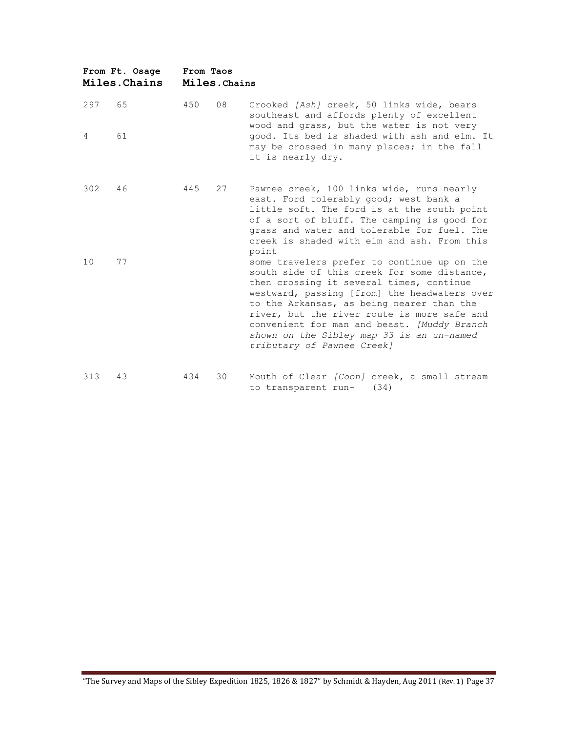|     | From Ft. Osage<br>Miles. Chains | From Taos | Miles.Chains |                                                                                                                                                                                                                                                                                                                                                                                                              |
|-----|---------------------------------|-----------|--------------|--------------------------------------------------------------------------------------------------------------------------------------------------------------------------------------------------------------------------------------------------------------------------------------------------------------------------------------------------------------------------------------------------------------|
| 297 | 65                              | 450       | 08           | Crooked [Ash] creek, 50 links wide, bears<br>southeast and affords plenty of excellent<br>wood and grass, but the water is not very                                                                                                                                                                                                                                                                          |
| 4   | 61                              |           |              | good. Its bed is shaded with ash and elm. It<br>may be crossed in many places; in the fall<br>it is nearly dry.                                                                                                                                                                                                                                                                                              |
| 302 | 46                              | 445       | 27           | Pawnee creek, 100 links wide, runs nearly<br>east. Ford tolerably good; west bank a<br>little soft. The ford is at the south point<br>of a sort of bluff. The camping is good for<br>grass and water and tolerable for fuel. The<br>creek is shaded with elm and ash. From this<br>point                                                                                                                     |
| 10  | 77                              |           |              | some travelers prefer to continue up on the<br>south side of this creek for some distance,<br>then crossing it several times, continue<br>westward, passing [from] the headwaters over<br>to the Arkansas, as being nearer than the<br>river, but the river route is more safe and<br>convenient for man and beast. [Muddy Branch<br>shown on the Sibley map 33 is an un-named<br>tributary of Pawnee Creek] |
| 313 | 43                              | 434       | 30           | Mouth of Clear [Coon] creek, a small stream<br>(34)<br>to transparent run-                                                                                                                                                                                                                                                                                                                                   |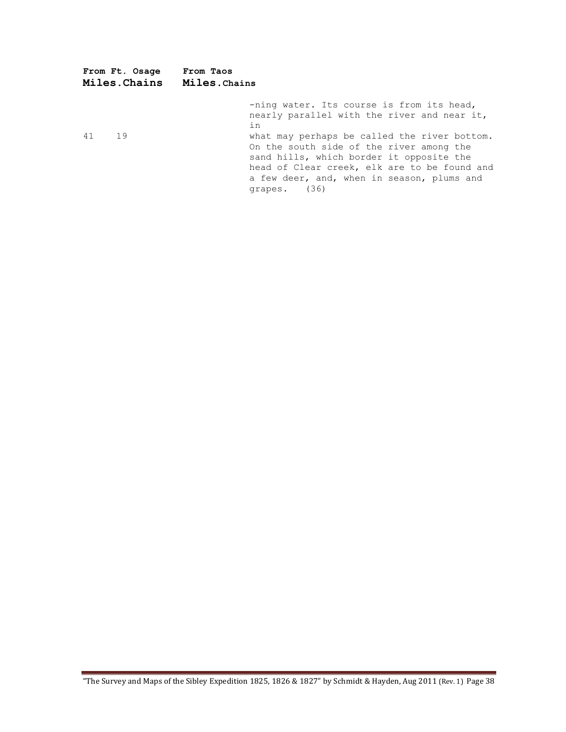|    | From Ft. Osage<br><b>Miles.Chains</b> | From Taos<br><b>Miles.</b> Chains                                                                                                                                                                                                                                                                                                                    |
|----|---------------------------------------|------------------------------------------------------------------------------------------------------------------------------------------------------------------------------------------------------------------------------------------------------------------------------------------------------------------------------------------------------|
| 41 | 19                                    | -ning water. Its course is from its head,<br>nearly parallel with the river and near it,<br>in<br>what may perhaps be called the river bottom.<br>On the south side of the river among the<br>sand hills, which border it opposite the<br>head of Clear creek, elk are to be found and<br>a few deer, and, when in season, plums and<br>grapes. (36) |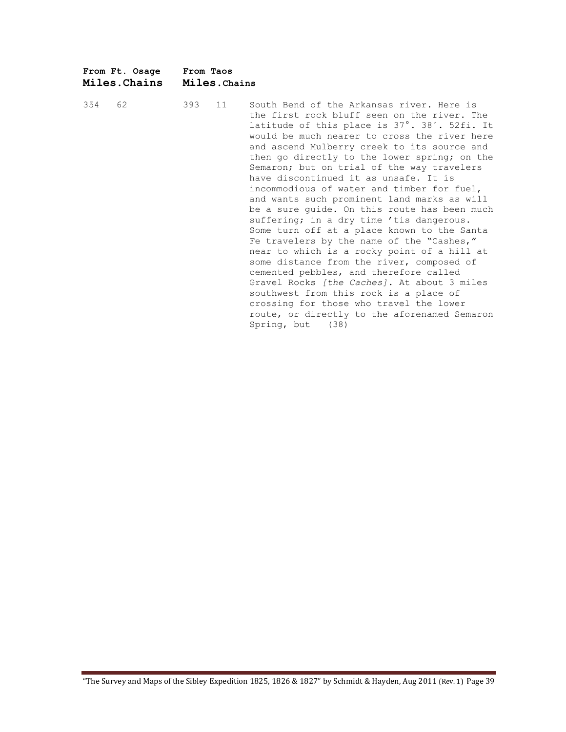|        | From Ft. Osage<br>Miles.Chains | From Taos<br>Miles. Chains |  |                               |  |
|--------|--------------------------------|----------------------------|--|-------------------------------|--|
| 354 62 |                                | 393 11                     |  | South B<br>the fil<br>latitud |  |

| 393 | 11 | South Bend of the Arkansas river. Here is<br>the first rock bluff seen on the river. The<br>latitude of this place is 37°. 38´. 52fi. It<br>would be much nearer to cross the river here<br>and ascend Mulberry creek to its source and<br>then go directly to the lower spring; on the<br>Semaron; but on trial of the way travelers<br>have discontinued it as unsafe. It is<br>incommodious of water and timber for fuel,<br>and wants such prominent land marks as will<br>be a sure guide. On this route has been much<br>suffering; in a dry time 'tis dangerous.<br>Some turn off at a place known to the Santa<br>Fe travelers by the name of the "Cashes,"<br>near to which is a rocky point of a hill at<br>some distance from the river, composed of<br>cemented pebbles, and therefore called<br>Gravel Rocks [the Caches]. At about 3 miles<br>southwest from this rock is a place of<br>crossing for those who travel the lower |
|-----|----|-----------------------------------------------------------------------------------------------------------------------------------------------------------------------------------------------------------------------------------------------------------------------------------------------------------------------------------------------------------------------------------------------------------------------------------------------------------------------------------------------------------------------------------------------------------------------------------------------------------------------------------------------------------------------------------------------------------------------------------------------------------------------------------------------------------------------------------------------------------------------------------------------------------------------------------------------|
|     |    | route, or directly to the aforenamed Semaron<br>Spring, but (38)                                                                                                                                                                                                                                                                                                                                                                                                                                                                                                                                                                                                                                                                                                                                                                                                                                                                              |
|     |    |                                                                                                                                                                                                                                                                                                                                                                                                                                                                                                                                                                                                                                                                                                                                                                                                                                                                                                                                               |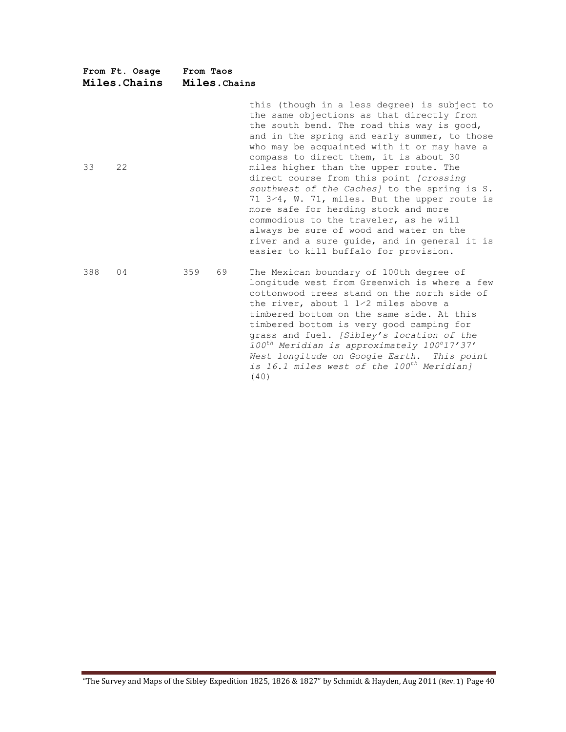| From Ft. Osage<br>Miles. Chains | From Taos | Miles. Chains                                                                                                                                                                                                                                                                                                                                                                                                                                                                                                                                                                                                                                                                               |  |  |  |  |
|---------------------------------|-----------|---------------------------------------------------------------------------------------------------------------------------------------------------------------------------------------------------------------------------------------------------------------------------------------------------------------------------------------------------------------------------------------------------------------------------------------------------------------------------------------------------------------------------------------------------------------------------------------------------------------------------------------------------------------------------------------------|--|--|--|--|
| 33<br>22                        |           | this (though in a less degree) is subject to<br>the same objections as that directly from<br>the south bend. The road this way is good,<br>and in the spring and early summer, to those<br>who may be acquainted with it or may have a<br>compass to direct them, it is about 30<br>miles higher than the upper route. The<br>direct course from this point (crossing<br>southwest of the Caches] to the spring is S.<br>71 3/4, W. 71, miles. But the upper route is<br>more safe for herding stock and more<br>commodious to the traveler, as he will<br>always be sure of wood and water on the<br>river and a sure quide, and in general it is<br>easier to kill buffalo for provision. |  |  |  |  |
| 388<br>04                       | 359<br>69 | The Mexican boundary of 100th degree of<br>longitude west from Greenwich is where a few<br>cottonwood trees stand on the north side of<br>the river, about 1 1/2 miles above a<br>timbered bottom on the same side. At this<br>timbered bottom is very good camping for<br>grass and fuel. [Sibley's location of the<br>100 <sup>th</sup> Meridian is approximately 100°17'37'<br>West longitude on Google Earth. This point<br>is 16.1 miles west of the 100 <sup>th</sup> Meridian]<br>(40)                                                                                                                                                                                               |  |  |  |  |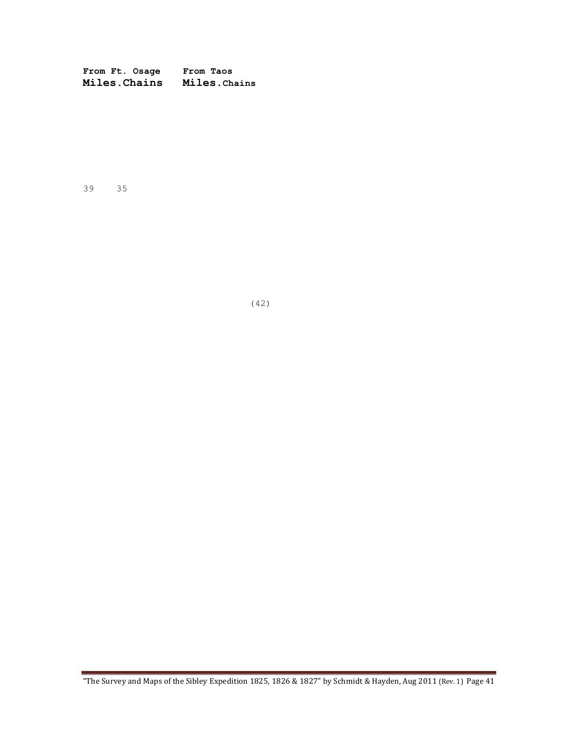**From Ft. Osage From Taos Miles.Chains Miles.Chains**

39 35

(42)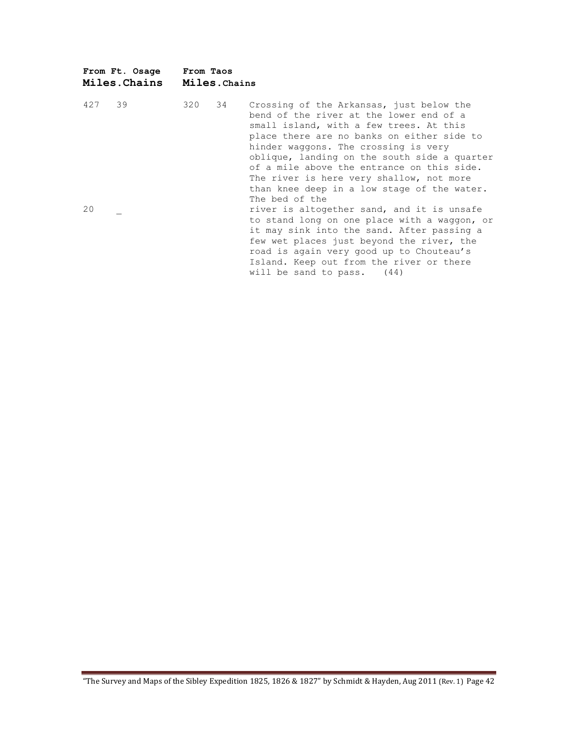| From Ft. Osage<br>Miles.Chains | From Taos<br>Miles. Chains                                                                                                                                                                                                                                                                                                                                                                                                                                                                                                                                                                                                                                                                                                    |  |
|--------------------------------|-------------------------------------------------------------------------------------------------------------------------------------------------------------------------------------------------------------------------------------------------------------------------------------------------------------------------------------------------------------------------------------------------------------------------------------------------------------------------------------------------------------------------------------------------------------------------------------------------------------------------------------------------------------------------------------------------------------------------------|--|
| 39<br>427<br>20                | 320<br>34<br>Crossing of the Arkansas, just below the<br>bend of the river at the lower end of a<br>small island, with a few trees. At this<br>place there are no banks on either side to<br>hinder waggons. The crossing is very<br>oblique, landing on the south side a quarter<br>of a mile above the entrance on this side.<br>The river is here very shallow, not more<br>than knee deep in a low stage of the water.<br>The bed of the<br>river is altogether sand, and it is unsafe<br>to stand long on one place with a waggon, or<br>it may sink into the sand. After passing a<br>few wet places just beyond the river, the<br>road is again very good up to Chouteau's<br>Island. Keep out from the river or there |  |
|                                | will be sand to pass. $(44)$                                                                                                                                                                                                                                                                                                                                                                                                                                                                                                                                                                                                                                                                                                  |  |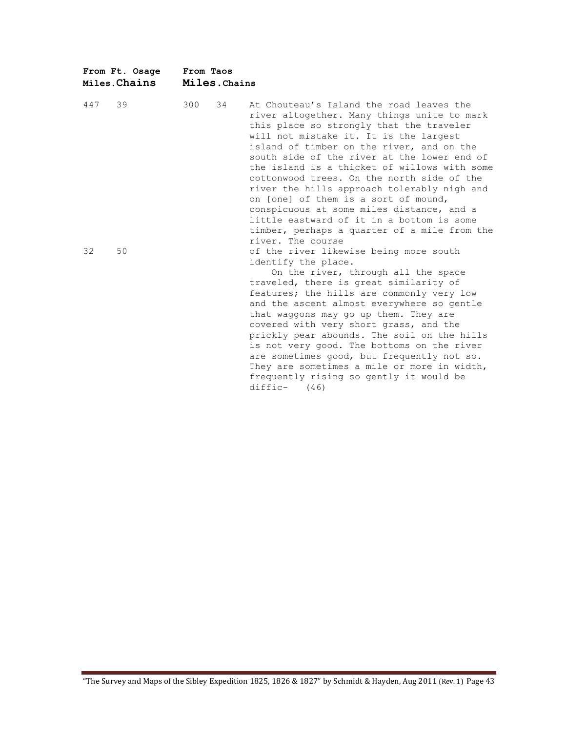|     | From Ft. Osage<br>Miles. Chains | From Taos<br>Miles.Chains |                                                                                                                                                                                                                                                                                                                                                                                                                                                                                                                                                                                                                               |
|-----|---------------------------------|---------------------------|-------------------------------------------------------------------------------------------------------------------------------------------------------------------------------------------------------------------------------------------------------------------------------------------------------------------------------------------------------------------------------------------------------------------------------------------------------------------------------------------------------------------------------------------------------------------------------------------------------------------------------|
| 447 | 39                              | 300<br>34                 | At Chouteau's Island the road leaves the<br>river altogether. Many things unite to mark<br>this place so strongly that the traveler<br>will not mistake it. It is the largest<br>island of timber on the river, and on the<br>south side of the river at the lower end of<br>the island is a thicket of willows with some<br>cottonwood trees. On the north side of the<br>river the hills approach tolerably nigh and<br>on [one] of them is a sort of mound,<br>conspicuous at some miles distance, and a<br>little eastward of it in a bottom is some<br>timber, perhaps a quarter of a mile from the<br>river. The course |
| 32  | 50                              |                           | of the river likewise being more south<br>identify the place.<br>On the river, through all the space<br>traveled, there is great similarity of<br>features; the hills are commonly very low<br>and the ascent almost everywhere so gentle<br>that waggons may go up them. They are<br>covered with very short grass, and the<br>prickly pear abounds. The soil on the hills<br>is not very good. The bottoms on the river<br>are sometimes good, but frequently not so.<br>They are sometimes a mile or more in width,<br>frequently rising so gently it would be<br>diffic-<br>(46)                                          |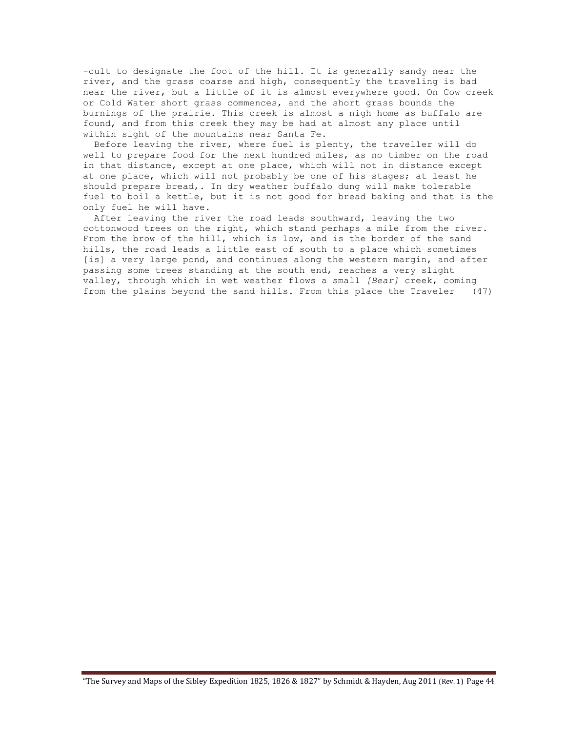-cult to designate the foot of the hill. It is generally sandy near the river, and the grass coarse and high, consequently the traveling is bad near the river, but a little of it is almost everywhere good. On Cow creek or Cold Water short grass commences, and the short grass bounds the burnings of the prairie. This creek is almost a nigh home as buffalo are found, and from this creek they may be had at almost any place until within sight of the mountains near Santa Fe.

 Before leaving the river, where fuel is plenty, the traveller will do well to prepare food for the next hundred miles, as no timber on the road in that distance, except at one place, which will not in distance except at one place, which will not probably be one of his stages; at least he should prepare bread,. In dry weather buffalo dung will make tolerable fuel to boil a kettle, but it is not good for bread baking and that is the only fuel he will have.

 After leaving the river the road leads southward, leaving the two cottonwood trees on the right, which stand perhaps a mile from the river. From the brow of the hill, which is low, and is the border of the sand hills, the road leads a little east of south to a place which sometimes [is] a very large pond, and continues along the western margin, and after passing some trees standing at the south end, reaches a very slight valley, through which in wet weather flows a small *[Bear]* creek, coming from the plains beyond the sand hills. From this place the Traveler (47)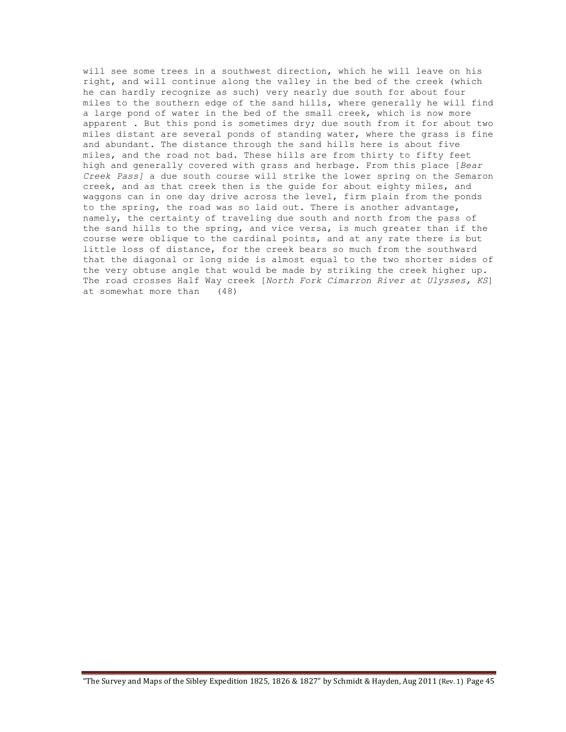will see some trees in a southwest direction, which he will leave on his right, and will continue along the valley in the bed of the creek (which he can hardly recognize as such) very nearly due south for about four miles to the southern edge of the sand hills, where generally he will find a large pond of water in the bed of the small creek, which is now more apparent . But this pond is sometimes dry; due south from it for about two miles distant are several ponds of standing water, where the grass is fine and abundant. The distance through the sand hills here is about five miles, and the road not bad. These hills are from thirty to fifty feet high and generally covered with grass and herbage. From this place [*Bear Creek Pass]* a due south course will strike the lower spring on the Semaron creek, and as that creek then is the guide for about eighty miles, and waggons can in one day drive across the level, firm plain from the ponds to the spring, the road was so laid out. There is another advantage, namely, the certainty of traveling due south and north from the pass of the sand hills to the spring, and vice versa, is much greater than if the course were oblique to the cardinal points, and at any rate there is but little loss of distance, for the creek bears so much from the southward that the diagonal or long side is almost equal to the two shorter sides of the very obtuse angle that would be made by striking the creek higher up. The road crosses Half Way creek [*North Fork Cimarron River at Ulysses, KS*] at somewhat more than (48)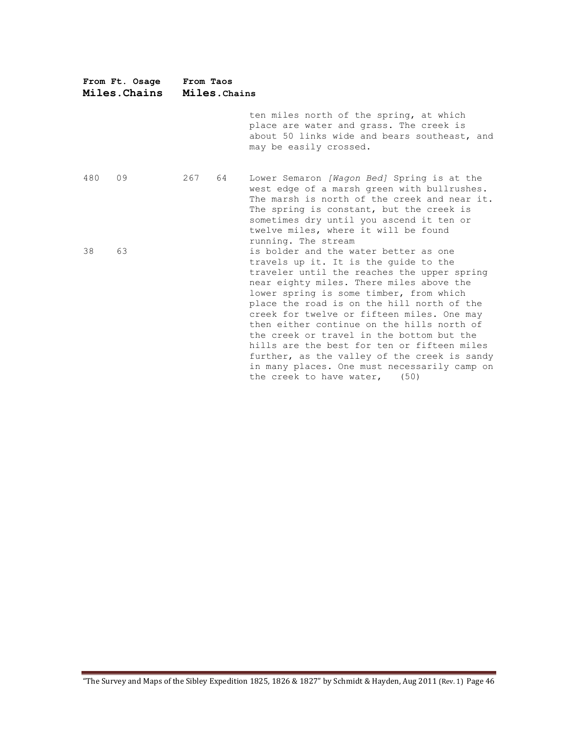| From Ft. Osage<br>Miles. Chains |    | From Taos<br>Miles. Chains |    |                                                                                                                                                                                                                                                                                                                                                                                                                                                                                                                                                                                                |  |  |
|---------------------------------|----|----------------------------|----|------------------------------------------------------------------------------------------------------------------------------------------------------------------------------------------------------------------------------------------------------------------------------------------------------------------------------------------------------------------------------------------------------------------------------------------------------------------------------------------------------------------------------------------------------------------------------------------------|--|--|
|                                 |    |                            |    | ten miles north of the spring, at which<br>place are water and grass. The creek is<br>about 50 links wide and bears southeast, and<br>may be easily crossed.                                                                                                                                                                                                                                                                                                                                                                                                                                   |  |  |
| 480                             | 09 | 267                        | 64 | Lower Semaron [Wagon Bed] Spring is at the<br>west edge of a marsh green with bullrushes.<br>The marsh is north of the creek and near it.<br>The spring is constant, but the creek is<br>sometimes dry until you ascend it ten or<br>twelve miles, where it will be found<br>running. The stream                                                                                                                                                                                                                                                                                               |  |  |
| 38                              | 63 |                            |    | is bolder and the water better as one<br>travels up it. It is the guide to the<br>traveler until the reaches the upper spring<br>near eighty miles. There miles above the<br>lower spring is some timber, from which<br>place the road is on the hill north of the<br>creek for twelve or fifteen miles. One may<br>then either continue on the hills north of<br>the creek or travel in the bottom but the<br>hills are the best for ten or fifteen miles<br>further, as the valley of the creek is sandy<br>in many places. One must necessarily camp on<br>the creek to have water,<br>(50) |  |  |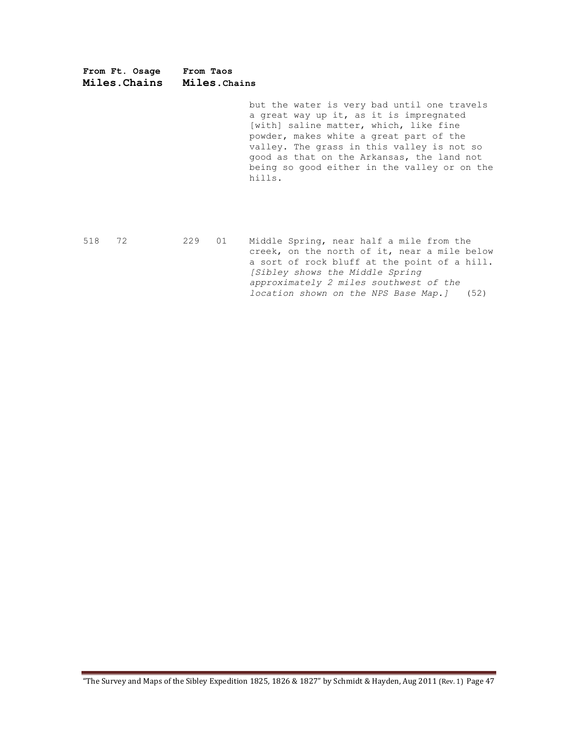**From Ft. Osage From Taos Miles.Chains Miles.Chains**

> but the water is very bad until one travels a great way up it, as it is impregnated [with] saline matter, which, like fine powder, makes white a great part of the valley. The grass in this valley is not so good as that on the Arkansas, the land not being so good either in the valley or on the hills.

518 72 229 01 Middle Spring, near half a mile from the creek, on the north of it, near a mile below a sort of rock bluff at the point of a hill. *[Sibley shows the Middle Spring approximately 2 miles southwest of the location shown on the NPS Base Map.]* (52)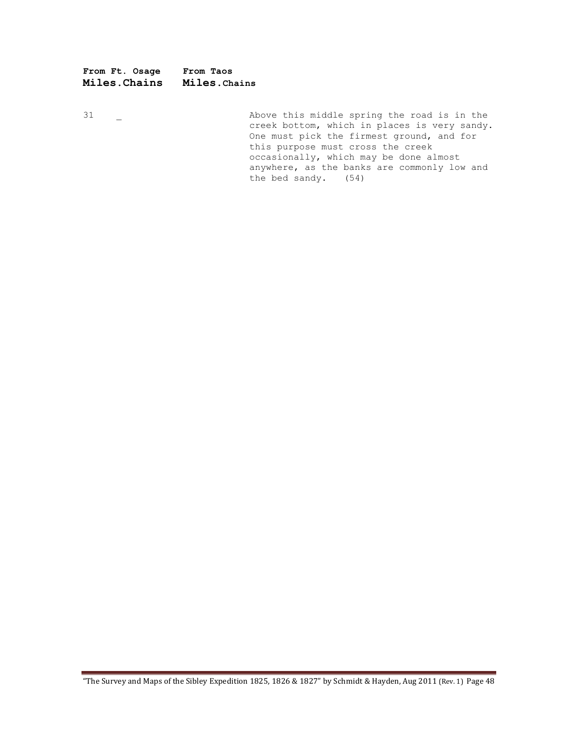**From Ft. Osage From Taos Miles.Chains Miles.Chains**

31 Let Connect a Labove this middle spring the road is in the creek bottom, which in places is very sandy. One must pick the firmest ground, and for this purpose must cross the creek occasionally, which may be done almost anywhere, as the banks are commonly low and the bed sandy. (54)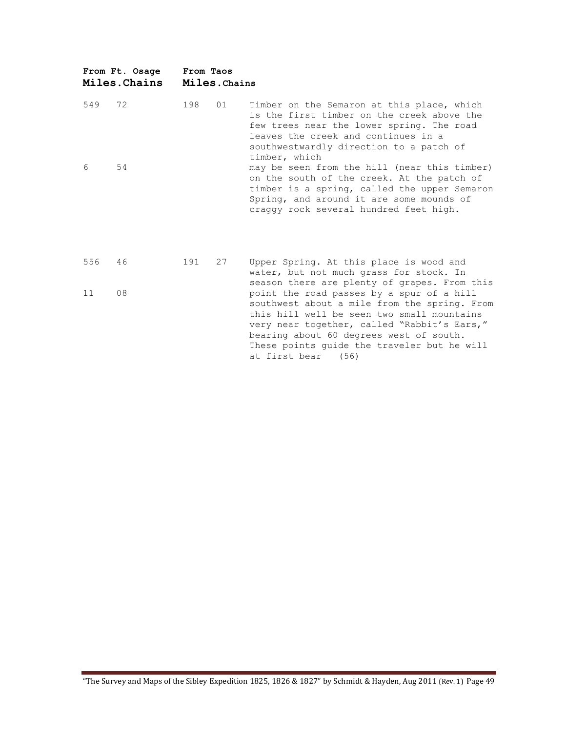|     | From Ft. Osage<br>Miles. Chains | From Taos | Miles. Chains |                                                                                                                                                                                                                                                                                                                                                           |
|-----|---------------------------------|-----------|---------------|-----------------------------------------------------------------------------------------------------------------------------------------------------------------------------------------------------------------------------------------------------------------------------------------------------------------------------------------------------------|
| 549 | 72                              | 198       | 01            | Timber on the Semaron at this place, which<br>is the first timber on the creek above the<br>few trees near the lower spring. The road<br>leaves the creek and continues in a<br>southwestwardly direction to a patch of<br>timber, which                                                                                                                  |
| 6   | 54                              |           |               | may be seen from the hill (near this timber)<br>on the south of the creek. At the patch of<br>timber is a spring, called the upper Semaron<br>Spring, and around it are some mounds of<br>craggy rock several hundred feet high.                                                                                                                          |
| 556 | 46                              | 191       | 27            | Upper Spring. At this place is wood and<br>water, but not much grass for stock. In                                                                                                                                                                                                                                                                        |
| 11  | 08                              |           |               | season there are plenty of grapes. From this<br>point the road passes by a spur of a hill<br>southwest about a mile from the spring. From<br>this hill well be seen two small mountains<br>very near together, called "Rabbit's Ears,"<br>bearing about 60 degrees west of south.<br>These points quide the traveler but he will<br>at first bear<br>(56) |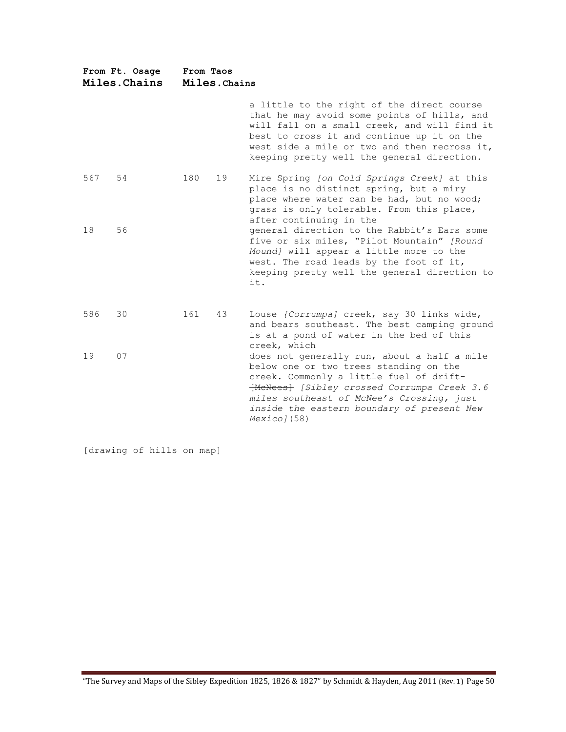| From Ft. Osage<br>Miles. Chains |    | From Taos<br>Miles. Chains |    |                                                                                                                                                                                                                                                                                             |  |  |
|---------------------------------|----|----------------------------|----|---------------------------------------------------------------------------------------------------------------------------------------------------------------------------------------------------------------------------------------------------------------------------------------------|--|--|
|                                 |    |                            |    | a little to the right of the direct course<br>that he may avoid some points of hills, and<br>will fall on a small creek, and will find it<br>best to cross it and continue up it on the<br>west side a mile or two and then recross it,<br>keeping pretty well the general direction.       |  |  |
| 567                             | 54 | 180                        | 19 | Mire Spring [on Cold Springs Creek] at this<br>place is no distinct spring, but a miry<br>place where water can be had, but no wood;<br>grass is only tolerable. From this place,<br>after continuing in the                                                                                |  |  |
| 18                              | 56 |                            |    | general direction to the Rabbit's Ears some<br>five or six miles, "Pilot Mountain" [Round<br>Mound] will appear a little more to the<br>west. The road leads by the foot of it,<br>keeping pretty well the general direction to<br>it.                                                      |  |  |
| 586                             | 30 | 161                        | 43 | Louse {Corrumpa} creek, say 30 links wide,<br>and bears southeast. The best camping ground<br>is at a pond of water in the bed of this<br>creek, which                                                                                                                                      |  |  |
| 19                              | 07 |                            |    | does not generally run, about a half a mile<br>below one or two trees standing on the<br>creek. Commonly a little fuel of drift-<br>[MeNees] [Sibley crossed Corrumpa Creek 3.6<br>miles southeast of McNee's Crossing, just<br>inside the eastern boundary of present New<br>$Mexico$ (58) |  |  |

[drawing of hills on map]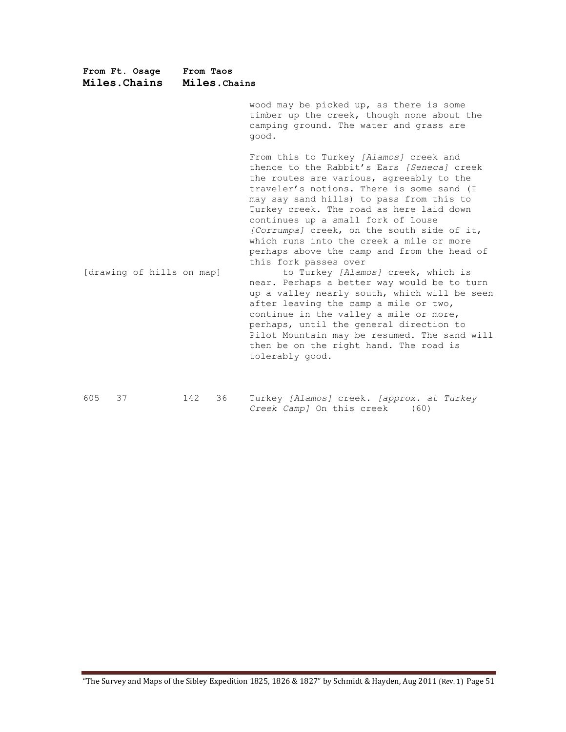| From Ft. Osage<br>Miles. Chains | From Taos<br>Miles. Chains |    |                                                                                                                                                                                                                                                                                                                                                                                                                                                                                                                                                                                                                                                                                                                                                                                                                                                               |  |  |
|---------------------------------|----------------------------|----|---------------------------------------------------------------------------------------------------------------------------------------------------------------------------------------------------------------------------------------------------------------------------------------------------------------------------------------------------------------------------------------------------------------------------------------------------------------------------------------------------------------------------------------------------------------------------------------------------------------------------------------------------------------------------------------------------------------------------------------------------------------------------------------------------------------------------------------------------------------|--|--|
|                                 |                            |    | wood may be picked up, as there is some<br>timber up the creek, though none about the<br>camping ground. The water and grass are<br>good.                                                                                                                                                                                                                                                                                                                                                                                                                                                                                                                                                                                                                                                                                                                     |  |  |
| [drawing of hills on map]       |                            |    | From this to Turkey [Alamos] creek and<br>thence to the Rabbit's Ears [Seneca] creek<br>the routes are various, agreeably to the<br>traveler's notions. There is some sand (I<br>may say sand hills) to pass from this to<br>Turkey creek. The road as here laid down<br>continues up a small fork of Louse<br>[Corrumpa] creek, on the south side of it,<br>which runs into the creek a mile or more<br>perhaps above the camp and from the head of<br>this fork passes over<br>to Turkey [Alamos] creek, which is<br>near. Perhaps a better way would be to turn<br>up a valley nearly south, which will be seen<br>after leaving the camp a mile or two,<br>continue in the valley a mile or more,<br>perhaps, until the general direction to<br>Pilot Mountain may be resumed. The sand will<br>then be on the right hand. The road is<br>tolerably good. |  |  |
| 605<br>37                       | 142                        | 36 | Turkey [Alamos] creek. [approx. at Turkey<br>Creek Camp] On this creek<br>(60)                                                                                                                                                                                                                                                                                                                                                                                                                                                                                                                                                                                                                                                                                                                                                                                |  |  |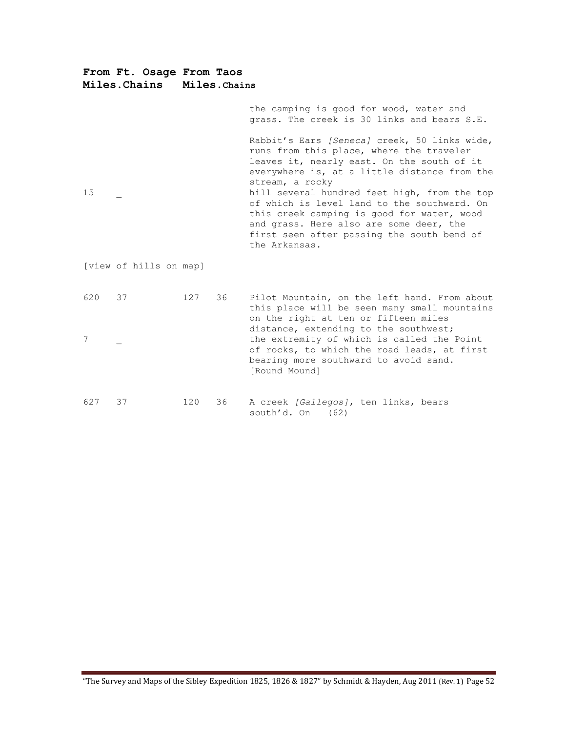**From Ft. Osage From Taos Miles.Chains Miles.Chains** the camping is good for wood, water and grass. The creek is 30 links and bears S.E. Rabbit's Ears *[Seneca]* creek, 50 links wide, runs from this place, where the traveler leaves it, nearly east. On the south of it everywhere is, at a little distance from the stream, a rocky 15 **15 hill several hundred feet high, from the top** of which is level land to the southward. On this creek camping is good for water, wood and grass. Here also are some deer, the first seen after passing the south bend of the Arkansas. [view of hills on map] 620 37 127 36 Pilot Mountain, on the left hand. From about this place will be seen many small mountains on the right at ten or fifteen miles distance, extending to the southwest; 7 \_ the extremity of which is called the Point

of rocks, to which the road leads, at first bearing more southward to avoid sand. [Round Mound]

| 627 37 |  | 120 36 A creek [Gallegos], ten links, bears |  |  |  |
|--------|--|---------------------------------------------|--|--|--|
|        |  | south'd. On (62)                            |  |  |  |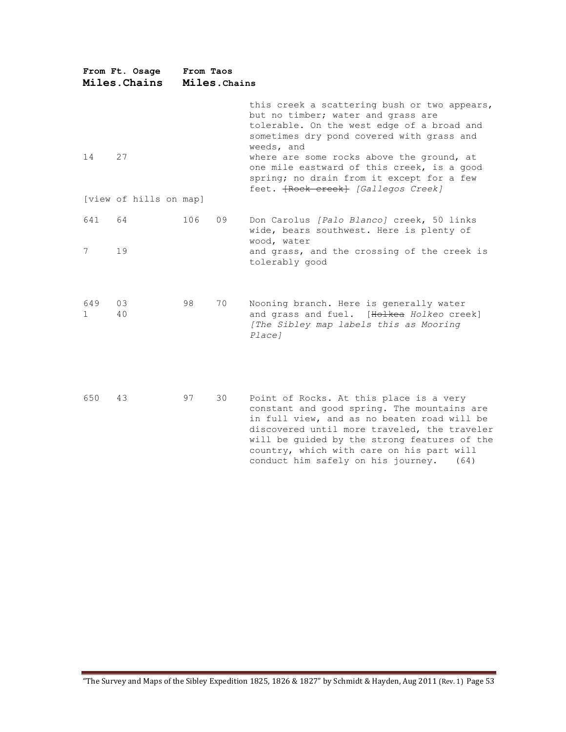|           | From Ft. Osage<br>Miles. Chains | From Taos<br>Miles. Chains |    |                                                                                                                                                                                                                                                                                                                                                                            |  |  |  |
|-----------|---------------------------------|----------------------------|----|----------------------------------------------------------------------------------------------------------------------------------------------------------------------------------------------------------------------------------------------------------------------------------------------------------------------------------------------------------------------------|--|--|--|
| 14        | 27<br>[view of hills on map]    |                            |    | this creek a scattering bush or two appears,<br>but no timber; water and grass are<br>tolerable. On the west edge of a broad and<br>sometimes dry pond covered with grass and<br>weeds, and<br>where are some rocks above the ground, at<br>one mile eastward of this creek, is a good<br>spring; no drain from it except for a few<br>feet. {Rock creek} [Gallegos Creek] |  |  |  |
| 641       | 64                              | 106                        | 09 | Don Carolus [Palo Blanco] creek, 50 links                                                                                                                                                                                                                                                                                                                                  |  |  |  |
| 7         | 19                              |                            |    | wide, bears southwest. Here is plenty of<br>wood, water<br>and grass, and the crossing of the creek is<br>tolerably good                                                                                                                                                                                                                                                   |  |  |  |
| 649<br>1. | 03<br>40                        | 98                         | 70 | Nooning branch. Here is generally water<br>and grass and fuel. [Holkea Holkeo creek]<br>[The Sibley map labels this as Mooring<br>Place]                                                                                                                                                                                                                                   |  |  |  |
| 650       | 43                              | 97                         | 30 | Point of Rocks. At this place is a very<br>constant and good spring. The mountains are<br>in full view, and as no beaten road will be<br>discovered until more traveled, the traveler<br>will be guided by the strong features of the<br>country, which with care on his part will<br>conduct him safely on his journey.<br>(64)                                           |  |  |  |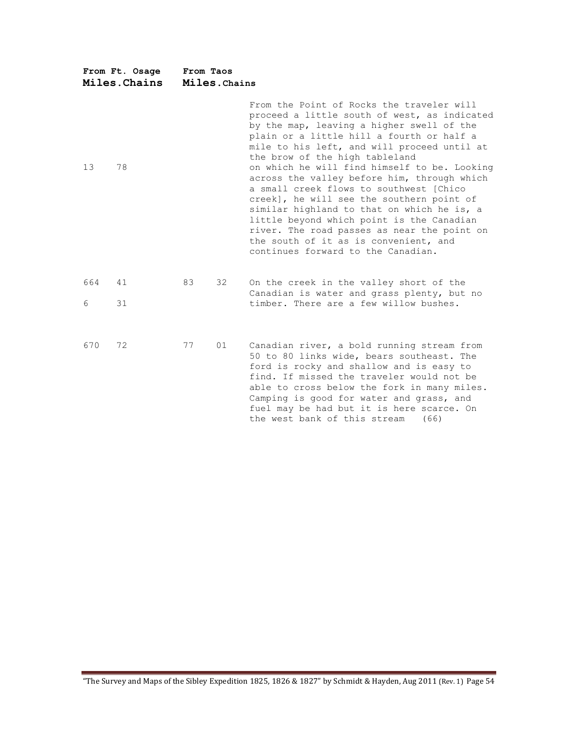| From Ft. Osage<br>Miles. Chains |    | From Taos<br>Miles. Chains |    |                                                                                                                                                                                                                                                                                                                                                                                                                                                                                                                                                                                                                                                                                      |  |  |
|---------------------------------|----|----------------------------|----|--------------------------------------------------------------------------------------------------------------------------------------------------------------------------------------------------------------------------------------------------------------------------------------------------------------------------------------------------------------------------------------------------------------------------------------------------------------------------------------------------------------------------------------------------------------------------------------------------------------------------------------------------------------------------------------|--|--|
| 13                              | 78 |                            |    | From the Point of Rocks the traveler will<br>proceed a little south of west, as indicated<br>by the map, leaving a higher swell of the<br>plain or a little hill a fourth or half a<br>mile to his left, and will proceed until at<br>the brow of the high tableland<br>on which he will find himself to be. Looking<br>across the valley before him, through which<br>a small creek flows to southwest (Chico<br>creek], he will see the southern point of<br>similar highland to that on which he is, a<br>little beyond which point is the Canadian<br>river. The road passes as near the point on<br>the south of it as is convenient, and<br>continues forward to the Canadian. |  |  |
| 664                             | 41 | 83                         | 32 | On the creek in the valley short of the<br>Canadian is water and grass plenty, but no                                                                                                                                                                                                                                                                                                                                                                                                                                                                                                                                                                                                |  |  |
| 6                               | 31 |                            |    | timber. There are a few willow bushes.                                                                                                                                                                                                                                                                                                                                                                                                                                                                                                                                                                                                                                               |  |  |
| 670                             | 72 | 77                         | 01 | Canadian river, a bold running stream from<br>50 to 80 links wide, bears southeast. The<br>ford is rocky and shallow and is easy to<br>find. If missed the traveler would not be<br>able to cross below the fork in many miles.<br>Camping is good for water and grass, and<br>fuel may be had but it is here scarce. On<br>the west bank of this stream<br>(66)                                                                                                                                                                                                                                                                                                                     |  |  |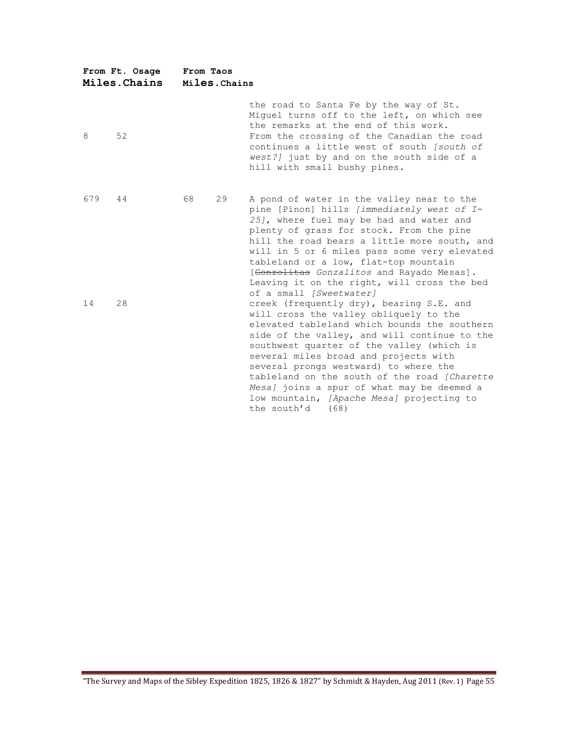|     | From Ft. Osage<br>Miles. Chains | From Taos | Miles. Chains |                                                                                                                                                                                                                                                                                                                                                                                                                                                                                                                |
|-----|---------------------------------|-----------|---------------|----------------------------------------------------------------------------------------------------------------------------------------------------------------------------------------------------------------------------------------------------------------------------------------------------------------------------------------------------------------------------------------------------------------------------------------------------------------------------------------------------------------|
| 8   | 52                              |           |               | the road to Santa Fe by the way of St.<br>Miquel turns off to the left, on which see<br>the remarks at the end of this work.<br>From the crossing of the Canadian the road<br>continues a little west of south [south of<br>west?] just by and on the south side of a<br>hill with small bushy pines.                                                                                                                                                                                                          |
| 679 | 44                              | 68        | 29            | A pond of water in the valley near to the<br>pine [Pinon] hills [immediately west of I-<br>25], where fuel may be had and water and<br>plenty of grass for stock. From the pine<br>hill the road bears a little more south, and<br>will in 5 or 6 miles pass some very elevated<br>tableland or a low, flat-top mountain<br>[Gonzolitas Gonzalitos and Rayado Mesas].<br>Leaving it on the right, will cross the bed                                                                                           |
| 14  | 28                              |           |               | of a small [Sweetwater]<br>creek (frequently dry), bearing S.E. and<br>will cross the valley obliquely to the<br>elevated tableland which bounds the southern<br>side of the valley, and will continue to the<br>southwest quarter of the valley (which is<br>several miles broad and projects with<br>several prongs westward) to where the<br>tableland on the south of the road [Charette<br>Mesa] joins a spur of what may be deemed a<br>low mountain, [Apache Mesa] projecting to<br>the south'd<br>(68) |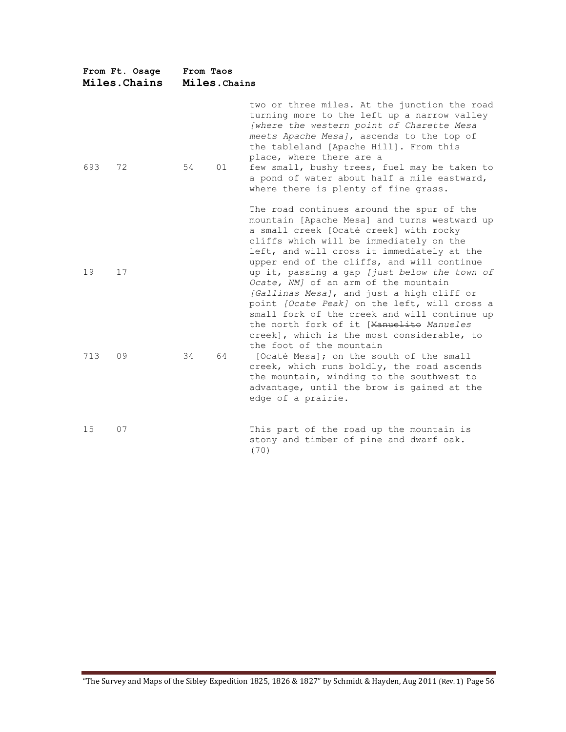| From Ft. Osage<br>Miles. Chains |    | From Taos<br>Miles. Chains |    |                                                                                                                                                                                                                                                                                                                                                                                                                                                                           |  |  |
|---------------------------------|----|----------------------------|----|---------------------------------------------------------------------------------------------------------------------------------------------------------------------------------------------------------------------------------------------------------------------------------------------------------------------------------------------------------------------------------------------------------------------------------------------------------------------------|--|--|
| 693                             | 72 | 54                         | 01 | two or three miles. At the junction the road<br>turning more to the left up a narrow valley<br>[where the western point of Charette Mesa<br>meets Apache Mesa], ascends to the top of<br>the tableland [Apache Hill]. From this<br>place, where there are a<br>few small, bushy trees, fuel may be taken to<br>a pond of water about half a mile eastward,<br>where there is plenty of fine grass.                                                                        |  |  |
| 19                              | 17 |                            |    | The road continues around the spur of the<br>mountain [Apache Mesa] and turns westward up<br>a small creek [Ocaté creek] with rocky<br>cliffs which will be immediately on the<br>left, and will cross it immediately at the<br>upper end of the cliffs, and will continue<br>up it, passing a gap [just below the town of<br>Ocate, NM] of an arm of the mountain                                                                                                        |  |  |
| 713                             | 09 | 34                         | 64 | [Gallinas Mesa], and just a high cliff or<br>point [Ocate Peak] on the left, will cross a<br>small fork of the creek and will continue up<br>the north fork of it [Manuelite Manueles<br>creek], which is the most considerable, to<br>the foot of the mountain<br>[Ocaté Mesa]; on the south of the small<br>creek, which runs boldly, the road ascends<br>the mountain, winding to the southwest to<br>advantage, until the brow is gained at the<br>edge of a prairie. |  |  |
| 15                              | 07 |                            |    | This part of the road up the mountain is<br>stony and timber of pine and dwarf oak.<br>(70)                                                                                                                                                                                                                                                                                                                                                                               |  |  |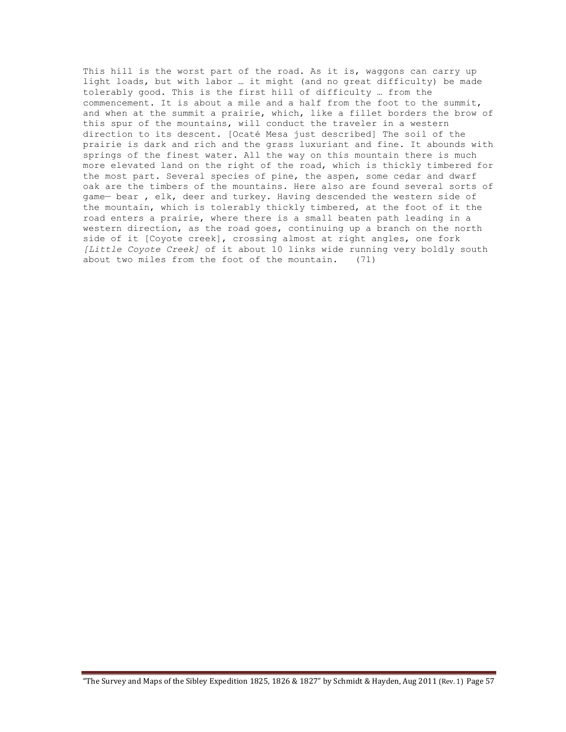This hill is the worst part of the road. As it is, waggons can carry up light loads, but with labor … it might (and no great difficulty) be made tolerably good. This is the first hill of difficulty … from the commencement. It is about a mile and a half from the foot to the summit, and when at the summit a prairie, which, like a fillet borders the brow of this spur of the mountains, will conduct the traveler in a western direction to its descent. [Ocaté Mesa just described] The soil of the prairie is dark and rich and the grass luxuriant and fine. It abounds with springs of the finest water. All the way on this mountain there is much more elevated land on the right of the road, which is thickly timbered for the most part. Several species of pine, the aspen, some cedar and dwarf oak are the timbers of the mountains. Here also are found several sorts of game— bear , elk, deer and turkey. Having descended the western side of the mountain, which is tolerably thickly timbered, at the foot of it the road enters a prairie, where there is a small beaten path leading in a western direction, as the road goes, continuing up a branch on the north side of it [Coyote creek], crossing almost at right angles, one fork *[Little Coyote Creek]* of it about 10 links wide running very boldly south about two miles from the foot of the mountain. (71)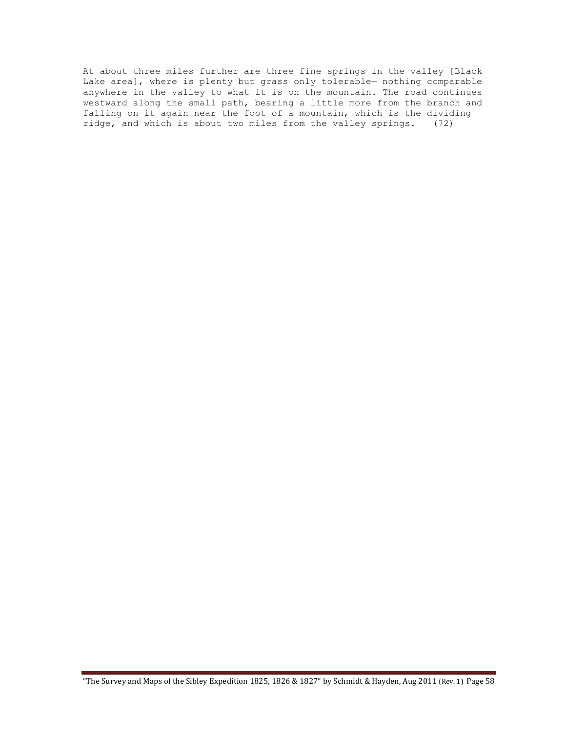At about three miles further are three fine springs in the valley [Black Lake area], where is plenty but grass only tolerable— nothing comparable anywhere in the valley to what it is on the mountain. The road continues westward along the small path, bearing a little more from the branch and falling on it again near the foot of a mountain, which is the dividing ridge, and which is about two miles from the valley springs. (72)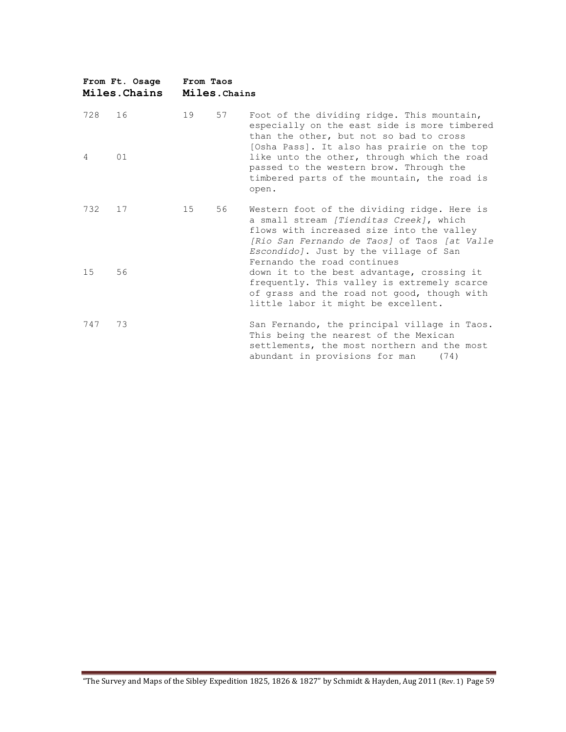|                | From Ft. Osage<br>Miles.Chains | From Taos | Miles. Chains |                                                                                                                                                                                                                                                              |
|----------------|--------------------------------|-----------|---------------|--------------------------------------------------------------------------------------------------------------------------------------------------------------------------------------------------------------------------------------------------------------|
| 728            | 16                             | 19        | 57            | Foot of the dividing ridge. This mountain,<br>especially on the east side is more timbered<br>than the other, but not so bad to cross                                                                                                                        |
| $\overline{4}$ | 01                             |           |               | [Osha Pass]. It also has prairie on the top<br>like unto the other, through which the road<br>passed to the western brow. Through the<br>timbered parts of the mountain, the road is<br>open.                                                                |
| 732            | 17                             | 15        | 56            | Western foot of the dividing ridge. Here is<br>a small stream [Tienditas Creek], which<br>flows with increased size into the valley<br>[Rio San Fernando de Taos] of Taos [at Valle<br>Escondido]. Just by the village of San<br>Fernando the road continues |
| 15             | 56                             |           |               | down it to the best advantage, crossing it<br>frequently. This valley is extremely scarce<br>of grass and the road not good, though with<br>little labor it might be excellent.                                                                              |
| 747            | 73                             |           |               | San Fernando, the principal village in Taos.<br>This being the nearest of the Mexican<br>settlements, the most northern and the most<br>abundant in provisions for man<br>(74)                                                                               |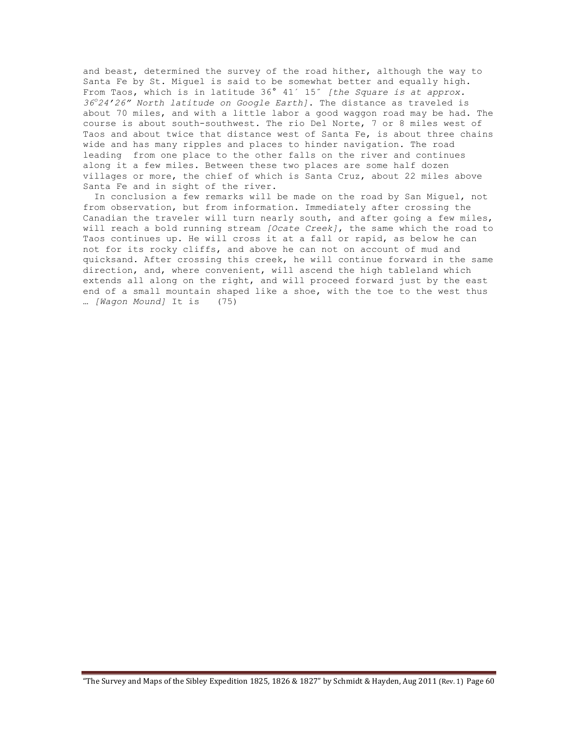and beast, determined the survey of the road hither, although the way to Santa Fe by St. Miguel is said to be somewhat better and equally high. From Taos, which is in latitude 36° 41´ 15˝ *[the Square is at approx. 36<sup>o</sup> 24'26" North latitude on Google Earth]*. The distance as traveled is about 70 miles, and with a little labor a good waggon road may be had. The course is about south-southwest. The rio Del Norte, 7 or 8 miles west of Taos and about twice that distance west of Santa Fe, is about three chains wide and has many ripples and places to hinder navigation. The road leading from one place to the other falls on the river and continues along it a few miles. Between these two places are some half dozen villages or more, the chief of which is Santa Cruz, about 22 miles above Santa Fe and in sight of the river.

 In conclusion a few remarks will be made on the road by San Miguel, not from observation, but from information. Immediately after crossing the Canadian the traveler will turn nearly south, and after going a few miles, will reach a bold running stream *[Ocate Creek]*, the same which the road to Taos continues up. He will cross it at a fall or rapid, as below he can not for its rocky cliffs, and above he can not on account of mud and quicksand. After crossing this creek, he will continue forward in the same direction, and, where convenient, will ascend the high tableland which extends all along on the right, and will proceed forward just by the east end of a small mountain shaped like a shoe, with the toe to the west thus … *[Wagon Mound]* It is (75)